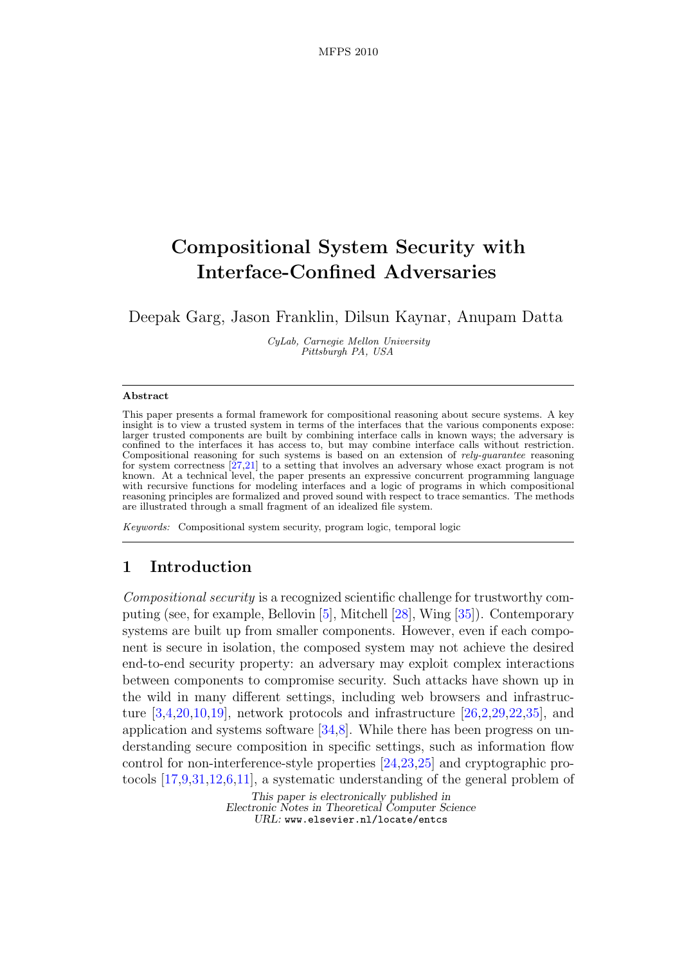# Compositional System Security with Interface-Confined Adversaries

Deepak Garg, Jason Franklin, Dilsun Kaynar, Anupam Datta

CyLab, Carnegie Mellon University Pittsburgh PA, USA

#### Abstract

This paper presents a formal framework for compositional reasoning about secure systems. A key insight is to view a trusted system in terms of the interfaces that the various components expose: larger trusted components are built by combining interface calls in known ways; the adversary is confined to the interfaces it has access to, but may combine interface calls without restriction. Compositional reasoning for such systems is based on an extension of rely-guarantee reasoning for system correctness [\[27](#page-24-0)[,21\]](#page-24-1) to a setting that involves an adversary whose exact program is not known. At a technical level, the paper presents an expressive concurrent programming language with recursive functions for modeling interfaces and a logic of programs in which compositional reasoning principles are formalized and proved sound with respect to trace semantics. The methods are illustrated through a small fragment of an idealized file system.

Keywords: Compositional system security, program logic, temporal logic

## 1 Introduction

Compositional security is a recognized scientific challenge for trustworthy computing (see, for example, Bellovin [\[5\]](#page-23-0), Mitchell [\[28\]](#page-24-2), Wing [\[35\]](#page-24-3)). Contemporary systems are built up from smaller components. However, even if each component is secure in isolation, the composed system may not achieve the desired end-to-end security property: an adversary may exploit complex interactions between components to compromise security. Such attacks have shown up in the wild in many different settings, including web browsers and infrastructure  $[3,4,20,10,19]$  $[3,4,20,10,19]$  $[3,4,20,10,19]$  $[3,4,20,10,19]$  $[3,4,20,10,19]$ , network protocols and infrastructure  $[26,2,29,22,35]$  $[26,2,29,22,35]$  $[26,2,29,22,35]$  $[26,2,29,22,35]$  $[26,2,29,22,35]$  $[26,2,29,22,35]$ , and application and systems software [\[34,](#page-24-9)[8\]](#page-23-5). While there has been progress on understanding secure composition in specific settings, such as information flow control for non-interference-style properties [\[24,](#page-24-10)[23,](#page-24-11)[25\]](#page-24-12) and cryptographic protocols [\[17,](#page-23-6)[9](#page-23-7)[,31,](#page-24-13)[12,](#page-23-8)[6,](#page-23-9)[11\]](#page-23-10), a systematic understanding of the general problem of

> This paper is electronically published in Electronic Notes in Theoretical Computer Science URL: www.elsevier.nl/locate/entcs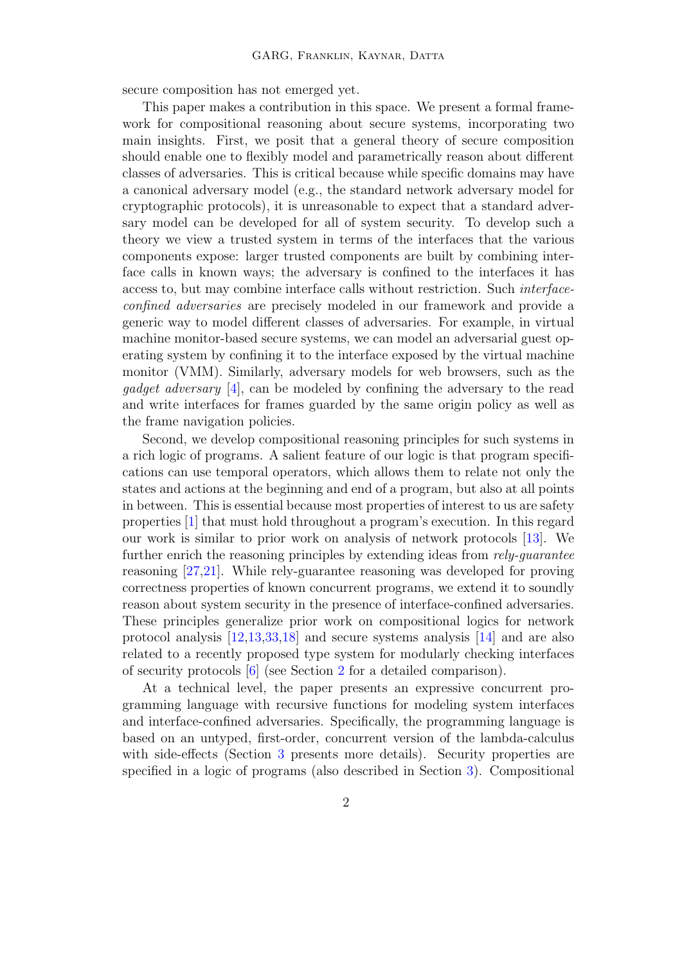secure composition has not emerged yet.

This paper makes a contribution in this space. We present a formal framework for compositional reasoning about secure systems, incorporating two main insights. First, we posit that a general theory of secure composition should enable one to flexibly model and parametrically reason about different classes of adversaries. This is critical because while specific domains may have a canonical adversary model (e.g., the standard network adversary model for cryptographic protocols), it is unreasonable to expect that a standard adversary model can be developed for all of system security. To develop such a theory we view a trusted system in terms of the interfaces that the various components expose: larger trusted components are built by combining interface calls in known ways; the adversary is confined to the interfaces it has access to, but may combine interface calls without restriction. Such interfaceconfined adversaries are precisely modeled in our framework and provide a generic way to model different classes of adversaries. For example, in virtual machine monitor-based secure systems, we can model an adversarial guest operating system by confining it to the interface exposed by the virtual machine monitor (VMM). Similarly, adversary models for web browsers, such as the *gadget adversary* [\[4\]](#page-23-2), can be modeled by confining the adversary to the read and write interfaces for frames guarded by the same origin policy as well as the frame navigation policies.

Second, we develop compositional reasoning principles for such systems in a rich logic of programs. A salient feature of our logic is that program specifications can use temporal operators, which allows them to relate not only the states and actions at the beginning and end of a program, but also at all points in between. This is essential because most properties of interest to us are safety properties [\[1\]](#page-23-11) that must hold throughout a program's execution. In this regard our work is similar to prior work on analysis of network protocols [\[13\]](#page-23-12). We further enrich the reasoning principles by extending ideas from rely-quarantee reasoning [\[27,](#page-24-0)[21\]](#page-24-1). While rely-guarantee reasoning was developed for proving correctness properties of known concurrent programs, we extend it to soundly reason about system security in the presence of interface-confined adversaries. These principles generalize prior work on compositional logics for network protocol analysis [\[12,](#page-23-8)[13,](#page-23-12)[33,](#page-24-14)[18\]](#page-23-13) and secure systems analysis [\[14\]](#page-23-14) and are also related to a recently proposed type system for modularly checking interfaces of security protocols [\[6\]](#page-23-9) (see Section [2](#page-2-0) for a detailed comparison).

At a technical level, the paper presents an expressive concurrent programming language with recursive functions for modeling system interfaces and interface-confined adversaries. Specifically, the programming language is based on an untyped, first-order, concurrent version of the lambda-calculus with side-effects (Section [3](#page-3-0) presents more details). Security properties are specified in a logic of programs (also described in Section [3\)](#page-3-0). Compositional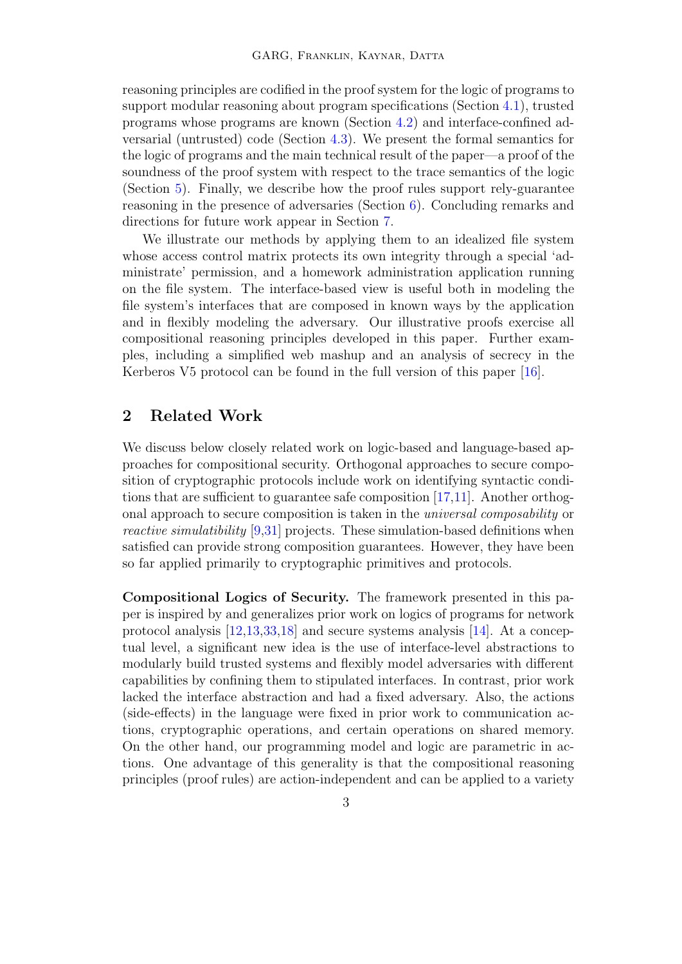reasoning principles are codified in the proof system for the logic of programs to support modular reasoning about program specifications (Section [4.1\)](#page-13-0), trusted programs whose programs are known (Section [4.2\)](#page-15-0) and interface-confined adversarial (untrusted) code (Section [4.3\)](#page-16-0). We present the formal semantics for the logic of programs and the main technical result of the paper—a proof of the soundness of the proof system with respect to the trace semantics of the logic (Section [5\)](#page-18-0). Finally, we describe how the proof rules support rely-guarantee reasoning in the presence of adversaries (Section [6\)](#page-20-0). Concluding remarks and directions for future work appear in Section [7.](#page-22-0)

We illustrate our methods by applying them to an idealized file system whose access control matrix protects its own integrity through a special 'administrate' permission, and a homework administration application running on the file system. The interface-based view is useful both in modeling the file system's interfaces that are composed in known ways by the application and in flexibly modeling the adversary. Our illustrative proofs exercise all compositional reasoning principles developed in this paper. Further examples, including a simplified web mashup and an analysis of secrecy in the Kerberos V5 protocol can be found in the full version of this paper [\[16\]](#page-23-15).

## <span id="page-2-0"></span>2 Related Work

We discuss below closely related work on logic-based and language-based approaches for compositional security. Orthogonal approaches to secure composition of cryptographic protocols include work on identifying syntactic conditions that are sufficient to guarantee safe composition [\[17](#page-23-6)[,11\]](#page-23-10). Another orthogonal approach to secure composition is taken in the universal composability or *reactive simulatibility* [\[9,](#page-23-7)[31\]](#page-24-13) projects. These simulation-based definitions when satisfied can provide strong composition guarantees. However, they have been so far applied primarily to cryptographic primitives and protocols.

Compositional Logics of Security. The framework presented in this paper is inspired by and generalizes prior work on logics of programs for network protocol analysis [\[12,](#page-23-8)[13,](#page-23-12)[33,](#page-24-14)[18\]](#page-23-13) and secure systems analysis [\[14\]](#page-23-14). At a conceptual level, a significant new idea is the use of interface-level abstractions to modularly build trusted systems and flexibly model adversaries with different capabilities by confining them to stipulated interfaces. In contrast, prior work lacked the interface abstraction and had a fixed adversary. Also, the actions (side-effects) in the language were fixed in prior work to communication actions, cryptographic operations, and certain operations on shared memory. On the other hand, our programming model and logic are parametric in actions. One advantage of this generality is that the compositional reasoning principles (proof rules) are action-independent and can be applied to a variety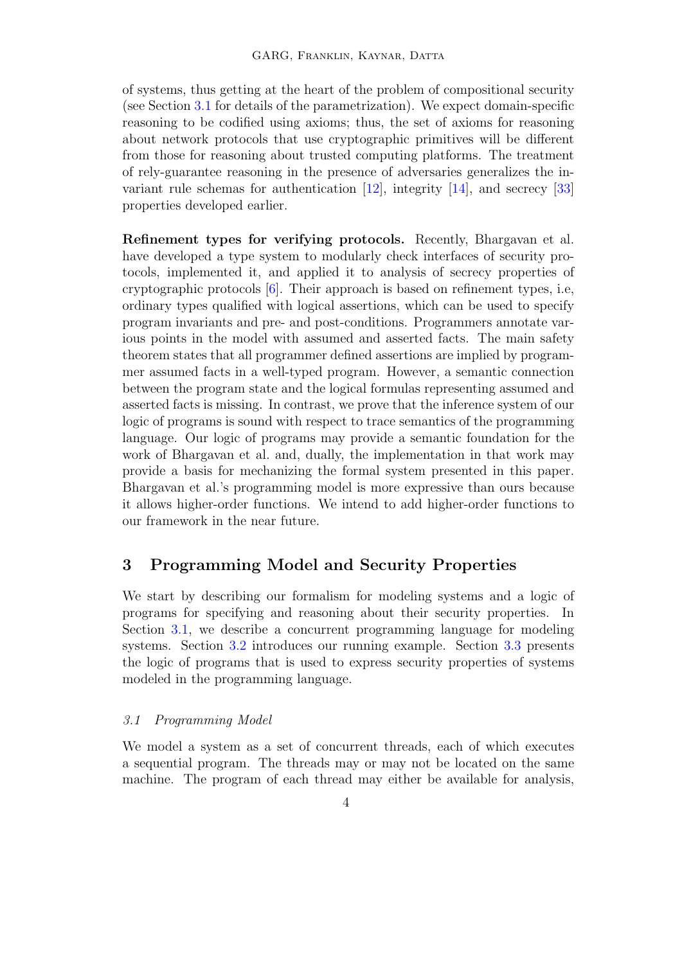of systems, thus getting at the heart of the problem of compositional security (see Section [3.1](#page-3-1) for details of the parametrization). We expect domain-specific reasoning to be codified using axioms; thus, the set of axioms for reasoning about network protocols that use cryptographic primitives will be different from those for reasoning about trusted computing platforms. The treatment of rely-guarantee reasoning in the presence of adversaries generalizes the invariant rule schemas for authentication [\[12\]](#page-23-8), integrity [\[14\]](#page-23-14), and secrecy [\[33\]](#page-24-14) properties developed earlier.

Refinement types for verifying protocols. Recently, Bhargavan et al. have developed a type system to modularly check interfaces of security protocols, implemented it, and applied it to analysis of secrecy properties of cryptographic protocols [\[6\]](#page-23-9). Their approach is based on refinement types, i.e, ordinary types qualified with logical assertions, which can be used to specify program invariants and pre- and post-conditions. Programmers annotate various points in the model with assumed and asserted facts. The main safety theorem states that all programmer defined assertions are implied by programmer assumed facts in a well-typed program. However, a semantic connection between the program state and the logical formulas representing assumed and asserted facts is missing. In contrast, we prove that the inference system of our logic of programs is sound with respect to trace semantics of the programming language. Our logic of programs may provide a semantic foundation for the work of Bhargavan et al. and, dually, the implementation in that work may provide a basis for mechanizing the formal system presented in this paper. Bhargavan et al.'s programming model is more expressive than ours because it allows higher-order functions. We intend to add higher-order functions to our framework in the near future.

## <span id="page-3-0"></span>3 Programming Model and Security Properties

We start by describing our formalism for modeling systems and a logic of programs for specifying and reasoning about their security properties. In Section [3.1,](#page-3-1) we describe a concurrent programming language for modeling systems. Section [3.2](#page-6-0) introduces our running example. Section [3.3](#page-9-0) presents the logic of programs that is used to express security properties of systems modeled in the programming language.

## <span id="page-3-1"></span>3.1 Programming Model

We model a system as a set of concurrent threads, each of which executes a sequential program. The threads may or may not be located on the same machine. The program of each thread may either be available for analysis,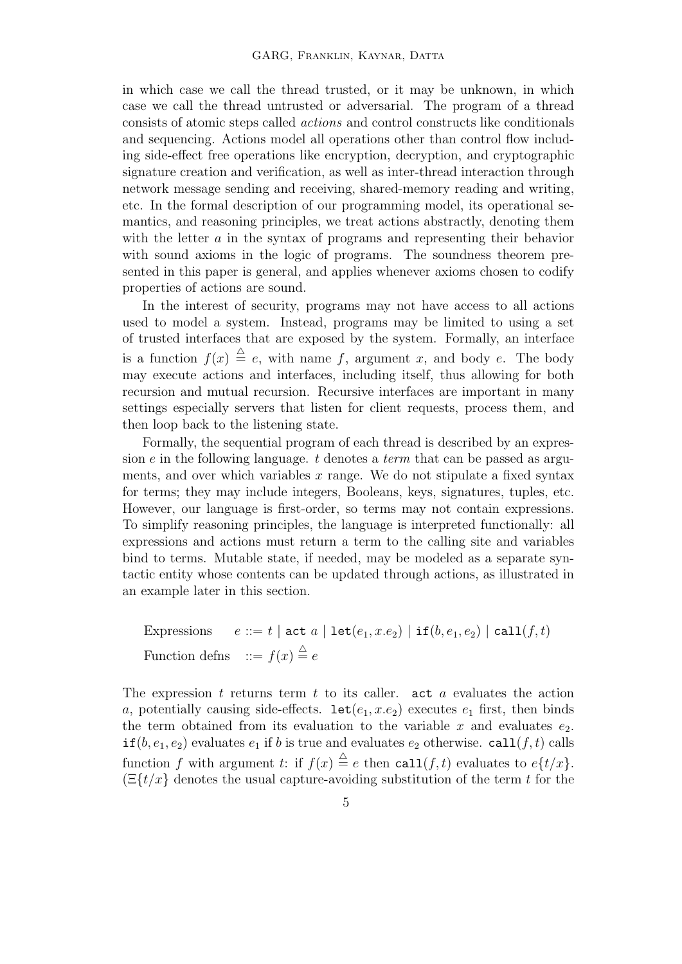in which case we call the thread trusted, or it may be unknown, in which case we call the thread untrusted or adversarial. The program of a thread consists of atomic steps called actions and control constructs like conditionals and sequencing. Actions model all operations other than control flow including side-effect free operations like encryption, decryption, and cryptographic signature creation and verification, as well as inter-thread interaction through network message sending and receiving, shared-memory reading and writing, etc. In the formal description of our programming model, its operational semantics, and reasoning principles, we treat actions abstractly, denoting them with the letter a in the syntax of programs and representing their behavior with sound axioms in the logic of programs. The soundness theorem presented in this paper is general, and applies whenever axioms chosen to codify properties of actions are sound.

In the interest of security, programs may not have access to all actions used to model a system. Instead, programs may be limited to using a set of trusted interfaces that are exposed by the system. Formally, an interface is a function  $f(x) \triangleq e$ , with name f, argument x, and body e. The body may execute actions and interfaces, including itself, thus allowing for both recursion and mutual recursion. Recursive interfaces are important in many settings especially servers that listen for client requests, process them, and then loop back to the listening state.

Formally, the sequential program of each thread is described by an expression e in the following language.  $t$  denotes a term that can be passed as arguments, and over which variables  $x$  range. We do not stipulate a fixed syntax for terms; they may include integers, Booleans, keys, signatures, tuples, etc. However, our language is first-order, so terms may not contain expressions. To simplify reasoning principles, the language is interpreted functionally: all expressions and actions must return a term to the calling site and variables bind to terms. Mutable state, if needed, may be modeled as a separate syntactic entity whose contents can be updated through actions, as illustrated in an example later in this section.

Expressions  $e ::= t | \text{act } a | \text{let}(e_1, x.e_2) | \text{if}(b, e_1, e_2) | \text{call}(f, t)$ Function defins  $\therefore f(x) \stackrel{\triangle}{=} e$ 

The expression  $t$  returns term  $t$  to its caller. act  $a$  evaluates the action a, potentially causing side-effects.  $\text{let}(e_1, x.e_2)$  executes  $e_1$  first, then binds the term obtained from its evaluation to the variable x and evaluates  $e_2$ .  $if(b, e_1, e_2)$  evaluates  $e_1$  if b is true and evaluates  $e_2$  otherwise. call $(f, t)$  calls function f with argument t: if  $f(x) \triangleq e$  then call $(f, t)$  evaluates to  $e\{t/x\}$ .  $(\Xi\{t/x\})$  denotes the usual capture-avoiding substitution of the term t for the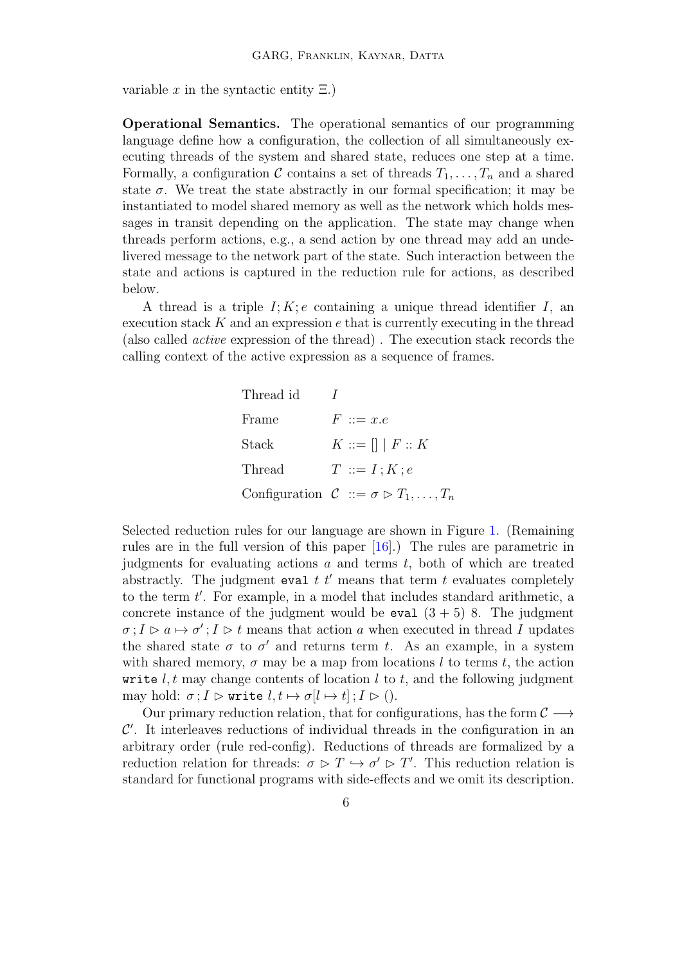variable x in the syntactic entity  $\Xi$ .)

Operational Semantics. The operational semantics of our programming language define how a configuration, the collection of all simultaneously executing threads of the system and shared state, reduces one step at a time. Formally, a configuration C contains a set of threads  $T_1, \ldots, T_n$  and a shared state  $\sigma$ . We treat the state abstractly in our formal specification; it may be instantiated to model shared memory as well as the network which holds messages in transit depending on the application. The state may change when threads perform actions, e.g., a send action by one thread may add an undelivered message to the network part of the state. Such interaction between the state and actions is captured in the reduction rule for actions, as described below.

A thread is a triple  $I; K; e$  containing a unique thread identifier  $I$ , an execution stack K and an expression  $e$  that is currently executing in the thread (also called active expression of the thread) . The execution stack records the calling context of the active expression as a sequence of frames.

| Thread id    |                                                             |
|--------------|-------------------------------------------------------------|
| Frame        | $F ::= x.e$                                                 |
| <b>Stack</b> | $K ::= []   F :: K$                                         |
| Thread       | $T ::= I; K; e$                                             |
|              | Configuration $C := \sigma \triangleright T_1, \ldots, T_n$ |

Selected reduction rules for our language are shown in Figure [1.](#page-6-1) (Remaining rules are in the full version of this paper [\[16\]](#page-23-15).) The rules are parametric in judgments for evaluating actions  $a$  and terms  $t$ , both of which are treated abstractly. The judgment eval  $t t'$  means that term  $t$  evaluates completely to the term  $t'$ . For example, in a model that includes standard arithmetic, a concrete instance of the judgment would be eval  $(3 + 5)$  8. The judgment  $\sigma$ ;  $I \rhd a \mapsto \sigma'$ ;  $I \rhd t$  means that action a when executed in thread I updates the shared state  $\sigma$  to  $\sigma'$  and returns term t. As an example, in a system with shared memory,  $\sigma$  may be a map from locations l to terms t, the action write  $l, t$  may change contents of location  $l$  to  $t$ , and the following judgment may hold:  $\sigma$ ;  $I \rhd$  write  $l, t \mapsto \sigma[l \mapsto t]$ ;  $I \rhd ($ ).

Our primary reduction relation, that for configurations, has the form  $\mathcal{C} \longrightarrow$  $\mathcal{C}'$ . It interleaves reductions of individual threads in the configuration in an arbitrary order (rule red-config). Reductions of threads are formalized by a reduction relation for threads:  $\sigma \triangleright T \hookrightarrow \sigma' \triangleright T'$ . This reduction relation is standard for functional programs with side-effects and we omit its description.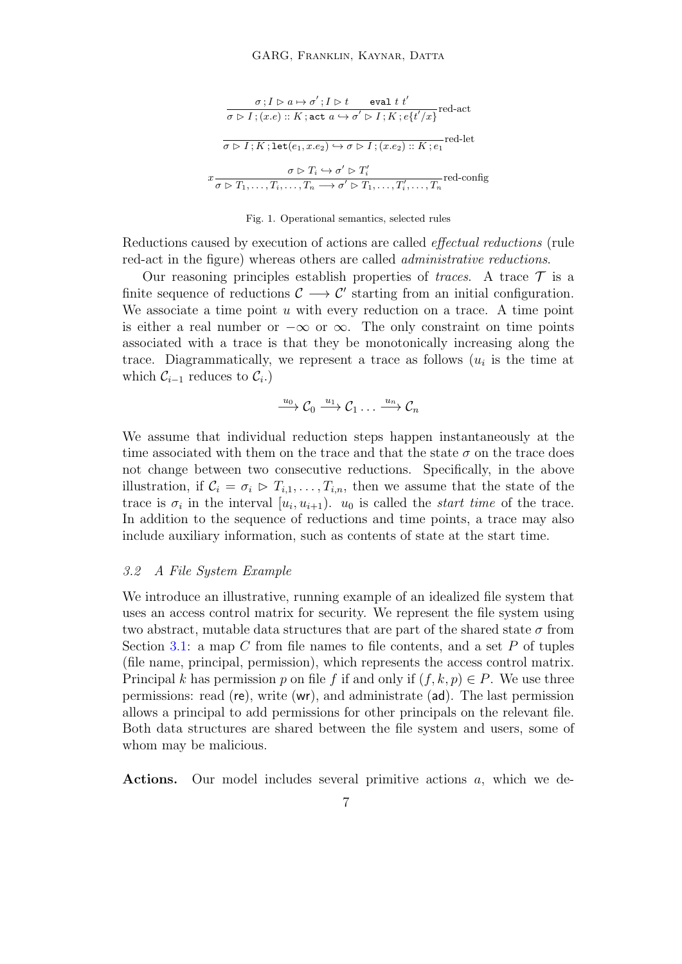| $\sigma\,;I\rhd a\mapsto\sigma'\,;I\rhd t\qquad\text{eval }t\;t'$<br>$\overline{\sigma \rhd I ; (x.e) :: K \, ; \, \mathtt{act}\, a \hookrightarrow \sigma' \rhd I \, ; K \, ; e\{t'/x\}}\, \mathrm{red\text{-}act}$                       |
|--------------------------------------------------------------------------------------------------------------------------------------------------------------------------------------------------------------------------------------------|
| $\overline{\sigma \rhd I; K; \texttt{let}(e_1, x.e_2) \hookrightarrow \sigma \rhd I; (x.e_2) :: K; e_1}$ red-let                                                                                                                           |
| $\sigma \triangleright T_i \hookrightarrow \sigma' \triangleright T'_i$<br>$\equiv$ red-config<br>$\boldsymbol{x}$<br>$x \overline{\sigma \rhd T_1, \ldots, T_i, \ldots, T_n \longrightarrow \sigma' \rhd T_1, \ldots, T_i', \ldots, T_n}$ |

<span id="page-6-1"></span>Fig. 1. Operational semantics, selected rules

Reductions caused by execution of actions are called effectual reductions (rule red-act in the figure) whereas others are called *administrative reductions*.

Our reasoning principles establish properties of *traces*. A trace  $\mathcal T$  is a finite sequence of reductions  $\mathcal{C} \longrightarrow \mathcal{C}'$  starting from an initial configuration. We associate a time point  $u$  with every reduction on a trace. A time point is either a real number or  $-\infty$  or  $\infty$ . The only constraint on time points associated with a trace is that they be monotonically increasing along the trace. Diagrammatically, we represent a trace as follows  $(u_i)$  is the time at which  $\mathcal{C}_{i-1}$  reduces to  $\mathcal{C}_i$ .)

$$
\xrightarrow{u_0} \mathcal{C}_0 \xrightarrow{u_1} \mathcal{C}_1 \dots \xrightarrow{u_n} \mathcal{C}_n
$$

We assume that individual reduction steps happen instantaneously at the time associated with them on the trace and that the state  $\sigma$  on the trace does not change between two consecutive reductions. Specifically, in the above illustration, if  $C_i = \sigma_i \triangleright T_{i,1}, \ldots, T_{i,n}$ , then we assume that the state of the trace is  $\sigma_i$  in the interval  $[u_i, u_{i+1})$ .  $u_0$  is called the *start time* of the trace. In addition to the sequence of reductions and time points, a trace may also include auxiliary information, such as contents of state at the start time.

#### <span id="page-6-0"></span>3.2 A File System Example

We introduce an illustrative, running example of an idealized file system that uses an access control matrix for security. We represent the file system using two abstract, mutable data structures that are part of the shared state  $\sigma$  from Section [3.1:](#page-3-1) a map  $C$  from file names to file contents, and a set  $P$  of tuples (file name, principal, permission), which represents the access control matrix. Principal k has permission p on file f if and only if  $(f, k, p) \in P$ . We use three permissions: read (re), write (wr), and administrate (ad). The last permission allows a principal to add permissions for other principals on the relevant file. Both data structures are shared between the file system and users, some of whom may be malicious.

Actions. Our model includes several primitive actions a, which we de-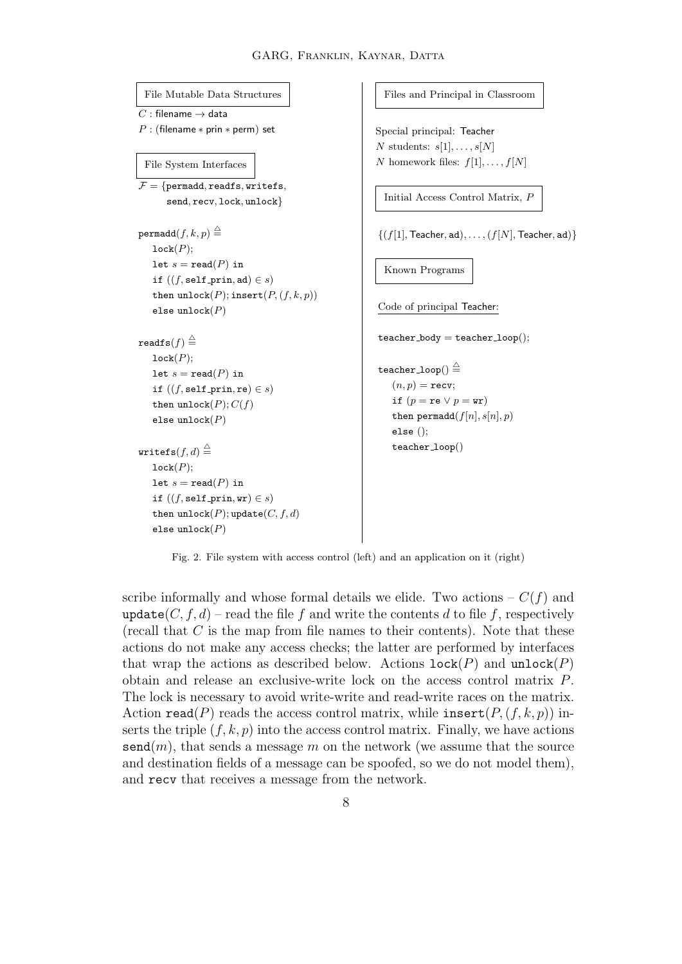```
File Mutable Data Structures
C : filename \rightarrow data
P : (filename ∗ prin ∗ perm) set
 File System Interfaces
F = \{permadd, readfs, writefs,send, recv, lock, unlock}
\mathtt{permadd}(f,k,p)\overset{\triangle}{=}lock(P);let s = \text{read}(P) in
   if ((f, self\_prin, ad) \in s)then \text{unlock}(P); insert(P,(f,k,p))else unlock(P)\mathtt{readfs}(f) \stackrel{\triangle}{=}lock(P):
   let s = \text{read}(P) in
   if ((f, self\_prin, re) \in s)then \text{unlock}(P); C(f)else unlock(P)\texttt{writesfs}(f, d) \stackrel{\triangle}{=}lock(P);let s = \text{read}(P) in
   if ((f, self\_prin, wr) \in s)then \text{unlock}(P); update(C, f, d)Files and Principal in Classroom
                                                               Special principal: Teacher
                                                               N students: s[1], \ldots, s[N]N homework files: f[1], \ldots, f[N]Initial Access Control Matrix, P
                                                                \{(f[1], \text{Teacher}, \text{ad}), \dots, (f[N], \text{Teacher}, \text{ad})\}Known Programs
                                                                Code of principal Teacher:
                                                                teacher_body = teacher\_loop();
                                                                \texttt{teacher\_loop}() \stackrel{\triangle}{=}(n, p) = recv;
                                                                   if (p = re \vee p = wr)then permadd(f[n], s[n], p)else ();
                                                                   \mathtt{teacher\_loop}()
```
<span id="page-7-0"></span>Fig. 2. File system with access control (left) and an application on it (right)

else unlock $(P)$ 

scribe informally and whose formal details we elide. Two actions  $-C(f)$  and update  $(C, f, d)$  – read the file f and write the contents d to file f, respectively (recall that  $C$  is the map from file names to their contents). Note that these actions do not make any access checks; the latter are performed by interfaces that wrap the actions as described below. Actions  $\text{lock}(P)$  and  $\text{unlock}(P)$ obtain and release an exclusive-write lock on the access control matrix P. The lock is necessary to avoid write-write and read-write races on the matrix. Action read(P) reads the access control matrix, while insert(P,  $(f, k, p)$ ) inserts the triple  $(f, k, p)$  into the access control matrix. Finally, we have actions  $\mathsf{send}(m)$ , that sends a message m on the network (we assume that the source and destination fields of a message can be spoofed, so we do not model them), and recv that receives a message from the network.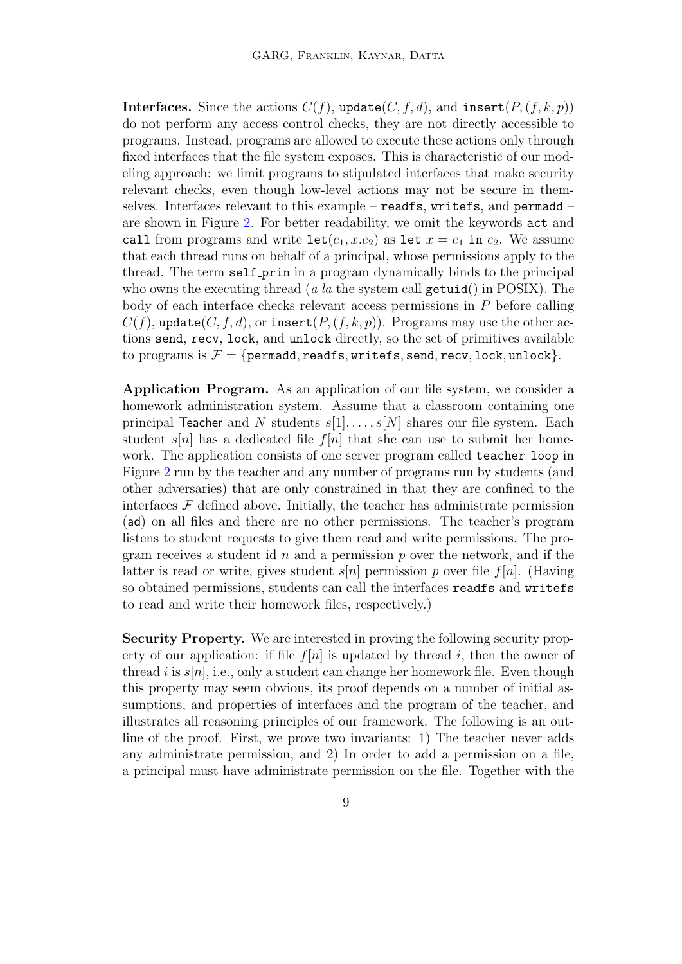**Interfaces.** Since the actions  $C(f)$ , update $(C, f, d)$ , and insert $(P, (f, k, p))$ do not perform any access control checks, they are not directly accessible to programs. Instead, programs are allowed to execute these actions only through fixed interfaces that the file system exposes. This is characteristic of our modeling approach: we limit programs to stipulated interfaces that make security relevant checks, even though low-level actions may not be secure in themselves. Interfaces relevant to this example – readfs, writefs, and permadd – are shown in Figure [2.](#page-7-0) For better readability, we omit the keywords act and call from programs and write  $\text{let}(e_1, x.e_2)$  as  $\text{let } x = e_1$  in  $e_2$ . We assume that each thread runs on behalf of a principal, whose permissions apply to the thread. The term self prin in a program dynamically binds to the principal who owns the executing thread (a la the system call  $\mathsf{getuid}()$  in POSIX). The body of each interface checks relevant access permissions in P before calling  $C(f)$ , update $(C, f, d)$ , or insert $(P, (f, k, p))$ . Programs may use the other actions send, recv, lock, and unlock directly, so the set of primitives available to programs is  $\mathcal{F} = \{$  permadd, readfs, writefs, send, recv, lock, unlock $\}$ .

Application Program. As an application of our file system, we consider a homework administration system. Assume that a classroom containing one principal Teacher and N students  $s[1], \ldots, s[N]$  shares our file system. Each student s[n] has a dedicated file  $f[n]$  that she can use to submit her homework. The application consists of one server program called teacher loop in Figure [2](#page-7-0) run by the teacher and any number of programs run by students (and other adversaries) that are only constrained in that they are confined to the interfaces  $\mathcal F$  defined above. Initially, the teacher has administrate permission (ad) on all files and there are no other permissions. The teacher's program listens to student requests to give them read and write permissions. The program receives a student id  $n$  and a permission  $p$  over the network, and if the latter is read or write, gives student  $s[n]$  permission p over file  $f[n]$ . (Having so obtained permissions, students can call the interfaces readfs and writefs to read and write their homework files, respectively.)

Security Property. We are interested in proving the following security property of our application: if file  $f[n]$  is updated by thread i, then the owner of thread i is  $s[n]$ , i.e., only a student can change her homework file. Even though this property may seem obvious, its proof depends on a number of initial assumptions, and properties of interfaces and the program of the teacher, and illustrates all reasoning principles of our framework. The following is an outline of the proof. First, we prove two invariants: 1) The teacher never adds any administrate permission, and 2) In order to add a permission on a file, a principal must have administrate permission on the file. Together with the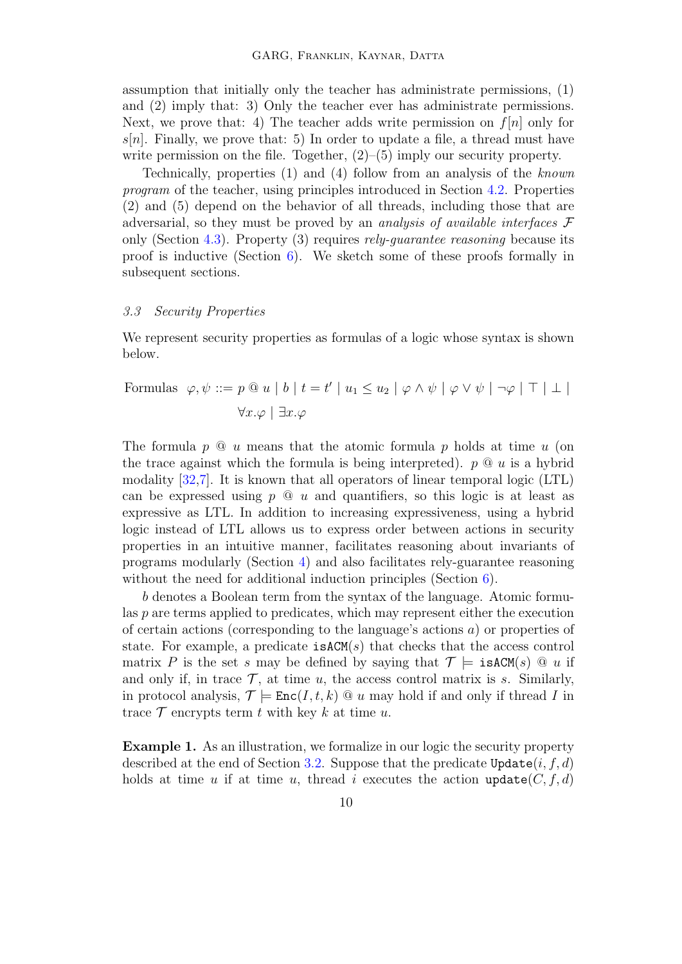assumption that initially only the teacher has administrate permissions, (1) and (2) imply that: 3) Only the teacher ever has administrate permissions. Next, we prove that: 4) The teacher adds write permission on  $f[n]$  only for  $s[n]$ . Finally, we prove that: 5) In order to update a file, a thread must have write permission on the file. Together,  $(2)$ – $(5)$  imply our security property.

Technically, properties (1) and (4) follow from an analysis of the known program of the teacher, using principles introduced in Section [4.2.](#page-15-0) Properties (2) and (5) depend on the behavior of all threads, including those that are adversarial, so they must be proved by an *analysis of available interfaces*  $\mathcal F$ only (Section [4.3\)](#page-16-0). Property (3) requires rely-guarantee reasoning because its proof is inductive (Section [6\)](#page-20-0). We sketch some of these proofs formally in subsequent sections.

#### <span id="page-9-0"></span>3.3 Security Properties

We represent security properties as formulas of a logic whose syntax is shown below.

Formulas 
$$
\varphi, \psi ::= p \circledcirc u \mid b \mid t = t' \mid u_1 \leq u_2 \mid \varphi \land \psi \mid \varphi \lor \psi \mid \neg \varphi \mid \top \mid \bot \mid
$$
  

$$
\forall x. \varphi \mid \exists x. \varphi
$$

The formula  $p \otimes u$  means that the atomic formula p holds at time u (on the trace against which the formula is being interpreted).  $p \mathcal{Q} u$  is a hybrid modality [\[32](#page-24-15)[,7\]](#page-23-16). It is known that all operators of linear temporal logic (LTL) can be expressed using  $p \mathcal{Q} u$  and quantifiers, so this logic is at least as expressive as LTL. In addition to increasing expressiveness, using a hybrid logic instead of LTL allows us to express order between actions in security properties in an intuitive manner, facilitates reasoning about invariants of programs modularly (Section [4\)](#page-12-0) and also facilitates rely-guarantee reasoning without the need for additional induction principles (Section [6\)](#page-20-0).

b denotes a Boolean term from the syntax of the language. Atomic formulas p are terms applied to predicates, which may represent either the execution of certain actions (corresponding to the language's actions  $a$ ) or properties of state. For example, a predicate  $isACM(s)$  that checks that the access control matrix P is the set s may be defined by saying that  $\mathcal{T} \models \texttt{isACM}(s) \ @\ u \text{ if}$ and only if, in trace  $\mathcal{T}$ , at time u, the access control matrix is s. Similarly, in protocol analysis,  $\mathcal{T} \models \text{Enc}(I, t, k) \mathcal{Q} u$  may hold if and only if thread I in trace  $\mathcal T$  encrypts term t with key k at time u.

Example 1. As an illustration, we formalize in our logic the security property described at the end of Section [3.2.](#page-6-0) Suppose that the predicate  $\texttt{Update}(i, f, d)$ holds at time u if at time u, thread i executes the action update  $(C, f, d)$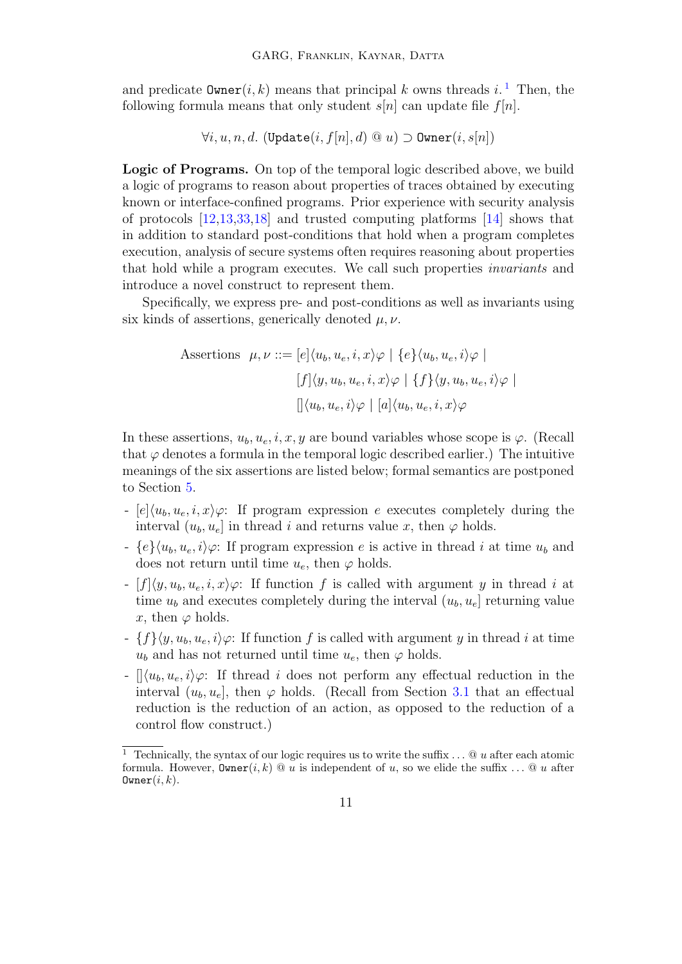and predicate  $\text{Owner}(i, k)$  means that principal k owns threads i.<sup>[1](#page-10-0)</sup> Then, the following formula means that only student  $s[n]$  can update file  $f[n]$ .

$$
\forall i, u, n, d. \; (\mathtt{Update}(i, f[n], d) \; @ \; u) \supset \mathtt{Owner}(i, s[n])
$$

Logic of Programs. On top of the temporal logic described above, we build a logic of programs to reason about properties of traces obtained by executing known or interface-confined programs. Prior experience with security analysis of protocols [\[12,](#page-23-8)[13](#page-23-12)[,33,](#page-24-14)[18\]](#page-23-13) and trusted computing platforms [\[14\]](#page-23-14) shows that in addition to standard post-conditions that hold when a program completes execution, analysis of secure systems often requires reasoning about properties that hold while a program executes. We call such properties invariants and introduce a novel construct to represent them.

Specifically, we express pre- and post-conditions as well as invariants using six kinds of assertions, generically denoted  $\mu$ ,  $\nu$ .

Assertions 
$$
\mu, \nu ::= [e] \langle u_b, u_e, i, x \rangle \varphi \mid \{e\} \langle u_b, u_e, i \rangle \varphi \mid
$$
  
\n
$$
[f] \langle y, u_b, u_e, i, x \rangle \varphi \mid \{f\} \langle y, u_b, u_e, i \rangle \varphi \mid
$$
\n
$$
[ ] \langle u_b, u_e, i \rangle \varphi \mid [a] \langle u_b, u_e, i, x \rangle \varphi
$$

In these assertions,  $u_b, u_e, i, x, y$  are bound variables whose scope is  $\varphi$ . (Recall that  $\varphi$  denotes a formula in the temporal logic described earlier.) The intuitive meanings of the six assertions are listed below; formal semantics are postponed to Section [5.](#page-18-0)

- $-$  [e] $\langle u_b, u_e, i, x \rangle \varphi$ : If program expression e executes completely during the interval  $(u_b, u_e]$  in thread i and returns value x, then  $\varphi$  holds.
- ${e}$ } $\langle u_b, u_e, i \rangle \varphi$ : If program expression e is active in thread i at time  $u_b$  and does not return until time  $u_e$ , then  $\varphi$  holds.
- $[f](y, u_b, u_e, i, x)\varphi$ : If function f is called with argument y in thread i at time  $u_b$  and executes completely during the interval  $(u_b, u_e]$  returning value x, then  $\varphi$  holds.
- $\{f\}\langle y, u_b, u_e, i\rangle \varphi$ : If function f is called with argument y in thread i at time  $u_b$  and has not returned until time  $u_e$ , then  $\varphi$  holds.
- $\langle u_h, u_e, i \rangle \varphi$ : If thread i does not perform any effectual reduction in the interval  $(u_b, u_e]$ , then  $\varphi$  holds. (Recall from Section [3.1](#page-3-1) that an effectual reduction is the reduction of an action, as opposed to the reduction of a control flow construct.)

<span id="page-10-0"></span><sup>&</sup>lt;sup>1</sup> Technically, the syntax of our logic requires us to write the suffix ...  $\&$  u after each atomic formula. However,  $\mathtt{Owner}(i, k) \t\t@ u$  is independent of u, so we elide the suffix ...  $\t\t@ u$  after Owner $(i, k)$ .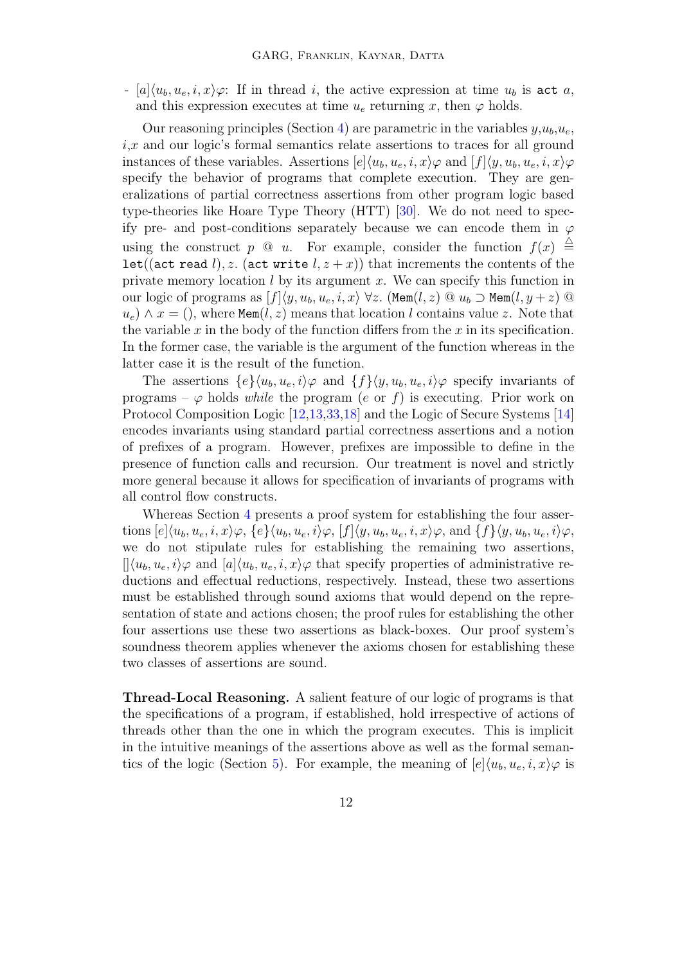-  $[a](u_b, u_e, i, x)\varphi$ : If in thread i, the active expression at time  $u_b$  is act a, and this expression executes at time  $u_e$  returning x, then  $\varphi$  holds.

Our reasoning principles (Section [4\)](#page-12-0) are parametric in the variables  $y, u_b, u_e$ ,  $i,x$  and our logic's formal semantics relate assertions to traces for all ground instances of these variables. Assertions  $[e]\langle u_b, u_e, i, x \rangle \varphi$  and  $[f] \langle y, u_b, u_e, i, x \rangle \varphi$ specify the behavior of programs that complete execution. They are generalizations of partial correctness assertions from other program logic based type-theories like Hoare Type Theory (HTT) [\[30\]](#page-24-16). We do not need to specify pre- and post-conditions separately because we can encode them in  $\varphi$ using the construct  $p \otimes u$ . For example, consider the function  $f(x) \triangleq$ let((act read l), z. (act write  $l, z + x$ )) that increments the contents of the private memory location  $l$  by its argument  $x$ . We can specify this function in our logic of programs as  $[f](y, u_b, u_e, i, x) \forall z$ . (Mem $(l, z) \otimes u_b \supset \text{Mem}(l, y + z) \otimes$  $u_e$ )  $\wedge x = ($ , where Mem $(l, z)$  means that location l contains value z. Note that the variable  $x$  in the body of the function differs from the  $x$  in its specification. In the former case, the variable is the argument of the function whereas in the latter case it is the result of the function.

The assertions  $\{e\}(u_b, u_e, i)\varphi$  and  $\{f\}(y, u_b, u_e, i)\varphi$  specify invariants of programs –  $\varphi$  holds while the program (e or f) is executing. Prior work on Protocol Composition Logic [\[12,](#page-23-8)[13,](#page-23-12)[33,](#page-24-14)[18\]](#page-23-13) and the Logic of Secure Systems [\[14\]](#page-23-14) encodes invariants using standard partial correctness assertions and a notion of prefixes of a program. However, prefixes are impossible to define in the presence of function calls and recursion. Our treatment is novel and strictly more general because it allows for specification of invariants of programs with all control flow constructs.

Whereas Section [4](#page-12-0) presents a proof system for establishing the four assertions  $[e]\langle u_b, u_e, i, x \rangle \varphi, \{e\}\langle u_b, u_e, i \rangle \varphi, [f]\langle y, u_b, u_e, i, x \rangle \varphi, \text{ and } \{f\}\langle y, u_b, u_e, i \rangle \varphi,$ we do not stipulate rules for establishing the remaining two assertions,  $[(\langle u_b, u_e, i \rangle) \varphi]$  and  $[a](u_b, u_e, i, x) \varphi$  that specify properties of administrative reductions and effectual reductions, respectively. Instead, these two assertions must be established through sound axioms that would depend on the representation of state and actions chosen; the proof rules for establishing the other four assertions use these two assertions as black-boxes. Our proof system's soundness theorem applies whenever the axioms chosen for establishing these two classes of assertions are sound.

Thread-Local Reasoning. A salient feature of our logic of programs is that the specifications of a program, if established, hold irrespective of actions of threads other than the one in which the program executes. This is implicit in the intuitive meanings of the assertions above as well as the formal seman-tics of the logic (Section [5\)](#page-18-0). For example, the meaning of  $[e]\langle u_b, u_e, i, x \rangle \varphi$  is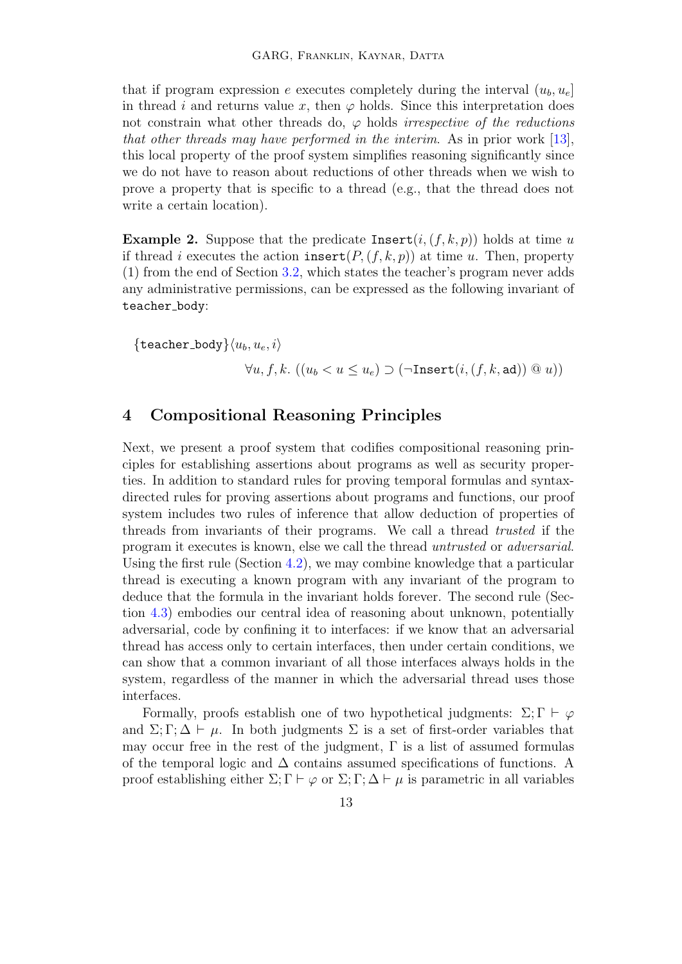that if program expression e executes completely during the interval  $(u_b, u_c)$ in thread i and returns value x, then  $\varphi$  holds. Since this interpretation does not constrain what other threads do,  $\varphi$  holds *irrespective of the reductions* that other threads may have performed in the interim. As in prior work [\[13\]](#page-23-12), this local property of the proof system simplifies reasoning significantly since we do not have to reason about reductions of other threads when we wish to prove a property that is specific to a thread (e.g., that the thread does not write a certain location).

**Example 2.** Suppose that the predicate Insert $(i, (f, k, p))$  holds at time u if thread i executes the action insert $(P,(f,k,p))$  at time u. Then, property (1) from the end of Section [3.2,](#page-6-0) which states the teacher's program never adds any administrative permissions, can be expressed as the following invariant of teacher\_body:

 $\{\texttt{teacher\_body}\}\langle u_b, u_e, i\rangle$  $\forall u, f, k. ((u_b < u \leq u_e) \supset (\neg \text{Insert}(i, (f, k, ad)) \ @ u))$ 

## <span id="page-12-0"></span>4 Compositional Reasoning Principles

Next, we present a proof system that codifies compositional reasoning principles for establishing assertions about programs as well as security properties. In addition to standard rules for proving temporal formulas and syntaxdirected rules for proving assertions about programs and functions, our proof system includes two rules of inference that allow deduction of properties of threads from invariants of their programs. We call a thread trusted if the program it executes is known, else we call the thread untrusted or adversarial. Using the first rule (Section [4.2\)](#page-15-0), we may combine knowledge that a particular thread is executing a known program with any invariant of the program to deduce that the formula in the invariant holds forever. The second rule (Section [4.3\)](#page-16-0) embodies our central idea of reasoning about unknown, potentially adversarial, code by confining it to interfaces: if we know that an adversarial thread has access only to certain interfaces, then under certain conditions, we can show that a common invariant of all those interfaces always holds in the system, regardless of the manner in which the adversarial thread uses those interfaces.

Formally, proofs establish one of two hypothetical judgments:  $\Sigma: \Gamma \vdash \varphi$ and  $\Sigma$ ;  $\Gamma$ ;  $\Delta \vdash \mu$ . In both judgments  $\Sigma$  is a set of first-order variables that may occur free in the rest of the judgment,  $\Gamma$  is a list of assumed formulas of the temporal logic and  $\Delta$  contains assumed specifications of functions. A proof establishing either  $\Sigma; \Gamma \vdash \varphi$  or  $\Sigma; \Gamma; \Delta \vdash \mu$  is parametric in all variables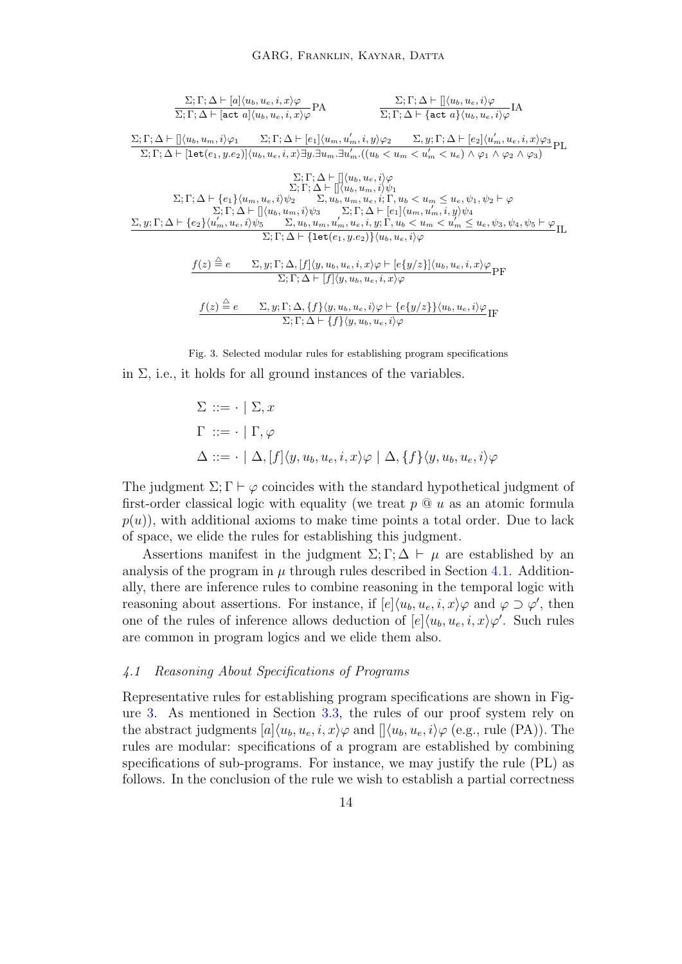$$
\frac{\Sigma; \Gamma; \Delta \vdash [a] \langle u_b, u_e, i, x \rangle \varphi}{\Sigma; \Gamma; \Delta \vdash [act a] \langle u_b, u_e, i, x \rangle \varphi} \text{PA}
$$
\n
$$
\frac{\Sigma; \Gamma; \Delta \vdash [[\langle u_b, u_e, i \rangle \varphi \land \langle u_e, i, x \rangle \varphi \land \langle u_e, i, x \rangle \varphi \land \langle u_e, i, x \rangle \varphi \land \langle u_e, i, x \rangle \varphi \land \langle u_e, i, x \rangle \varphi \land \langle u_e, i, x \rangle \varphi \land \langle u_e, i, x \rangle \varphi \land \langle u_e, i, x \rangle \varphi \land \langle u_e, i, x \rangle \varphi \land \langle u_e, i, x \rangle \varphi \land \langle u_e, i, x \rangle \varphi \land \langle u_e, i, x \rangle \varphi \land \langle u_e, i, x \rangle \varphi \land \langle u_e, i, x \rangle \varphi \land \langle u_e, i, x \rangle \varphi \land \langle u_e, i, x \rangle \varphi \land \langle u_e, i, x \rangle \varphi \land \langle u_e, i, x \rangle \varphi \land \langle u_e, i, x \rangle \varphi \land \langle u_e, i, x \rangle \varphi \land \langle u_e, i, x \rangle \varphi \land \langle u_e, i, x \rangle \varphi \land \langle u_e, i, x \rangle \varphi \land \langle u_e, i, x \rangle \varphi \land \langle u_e, i, x \rangle \varphi \land \langle u_e, i, x \rangle \varphi \land \langle u_e, i, x \rangle \varphi \land \langle u_e, i, x \rangle \varphi \land \langle u_e, i, x \rangle \varphi \land \langle u_e, i, x \rangle \varphi \land \langle u_e, i, x \rangle \varphi \land \langle u_e, i, x \rangle \varphi \land \langle u_e, i, x \rangle \varphi \land \langle u_e, i, x \rangle \varphi \land \langle u_e, i, x \rangle \varphi \land \langle u_e, i, x \rangle \varphi \land \langle u_e, i, x \rangle \varphi \land \langle u_e, i, x \rangle \varphi \land \langle u_e, i, x \rangle \varphi \land \langle u_e, i, x \rangle \varphi \land \langle u_e, i, x \rangle \varphi \land \langle u_e, i, x \rangle \varphi \land \langle u_e, i, x \rangle \varphi \land \langle u_e, i,
$$

Fig. 3. Selected modular rules for establishing program specifications in  $\Sigma$ , i.e., it holds for all ground instances of the variables.

<span id="page-13-1"></span>
$$
\Sigma ::= \cdot | \Sigma, x
$$
  
\n
$$
\Gamma ::= \cdot | \Gamma, \varphi
$$
  
\n
$$
\Delta ::= \cdot | \Delta, [f] \langle y, u_b, u_e, i, x \rangle \varphi | \Delta, \{f\} \langle y, u_b, u_e, i \rangle \varphi
$$

The judgment  $\Sigma$ ;  $\Gamma \vdash \varphi$  coincides with the standard hypothetical judgment of first-order classical logic with equality (we treat  $p \mathcal{Q} u$  as an atomic formula  $p(u)$ , with additional axioms to make time points a total order. Due to lack of space, we elide the rules for establishing this judgment.

Assertions manifest in the judgment  $\Sigma; \Gamma; \Delta \vdash \mu$  are established by an analysis of the program in  $\mu$  through rules described in Section [4.1.](#page-13-0) Additionally, there are inference rules to combine reasoning in the temporal logic with reasoning about assertions. For instance, if  $[e]\langle u_b, u_e, i, x \rangle \varphi$  and  $\varphi \supset \varphi'$ , then one of the rules of inference allows deduction of  $[e](u_b, u_e, i, x)\varphi'$ . Such rules are common in program logics and we elide them also.

#### <span id="page-13-0"></span>4.1 Reasoning About Specifications of Programs

Representative rules for establishing program specifications are shown in Figure [3.](#page-13-1) As mentioned in Section [3.3,](#page-9-0) the rules of our proof system rely on the abstract judgments  $[a]\langle u_b, u_e, i, x \rangle \varphi$  and  $[\langle u_b, u_e, i \rangle \varphi$  (e.g., rule (PA)). The rules are modular: specifications of a program are established by combining specifications of sub-programs. For instance, we may justify the rule (PL) as follows. In the conclusion of the rule we wish to establish a partial correctness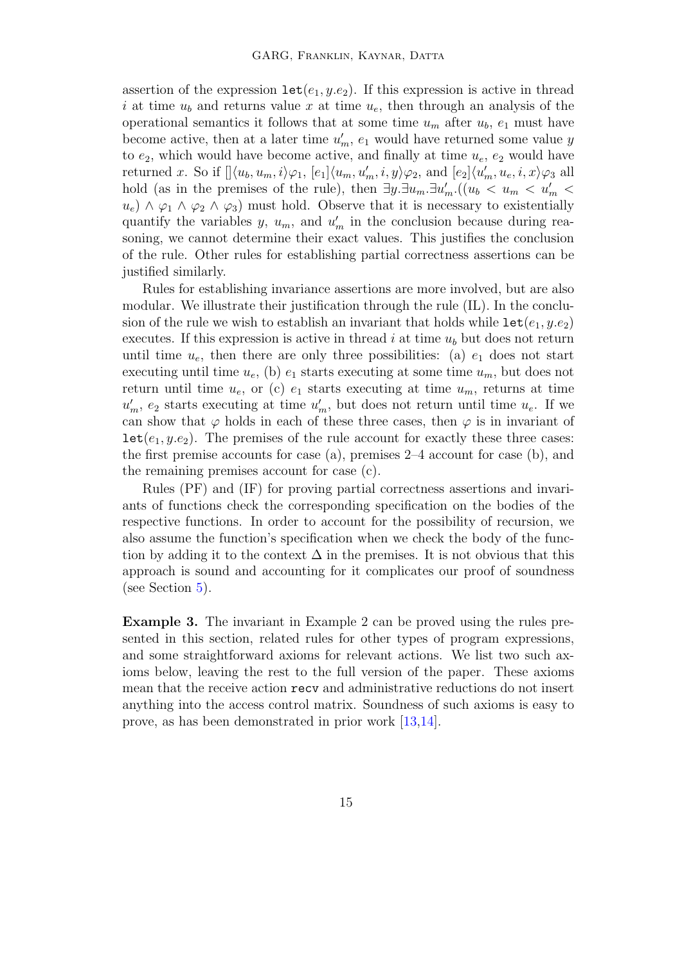assertion of the expression  $\text{let}(e_1, y.e_2)$ . If this expression is active in thread i at time  $u_b$  and returns value x at time  $u_e$ , then through an analysis of the operational semantics it follows that at some time  $u_m$  after  $u_b$ ,  $e_1$  must have become active, then at a later time  $u'_m$ ,  $e_1$  would have returned some value y to  $e_2$ , which would have become active, and finally at time  $u_e$ ,  $e_2$  would have returned x. So if  $[\langle u_b, u_m, i \rangle \varphi_1, [e_1] \langle u_m, u'_m, i, y \rangle \varphi_2$ , and  $[e_2] \langle u'_m, u_e, i, x \rangle \varphi_3$  all hold (as in the premises of the rule), then  $\exists y.\exists u_m.\exists u'_m.((u_b < u_m < u'_m < u'_m$  $u_e$ )  $\wedge \varphi_1 \wedge \varphi_2 \wedge \varphi_3$ ) must hold. Observe that it is necessary to existentially quantify the variables  $y, u_m$ , and  $u'_m$  in the conclusion because during reasoning, we cannot determine their exact values. This justifies the conclusion of the rule. Other rules for establishing partial correctness assertions can be justified similarly.

Rules for establishing invariance assertions are more involved, but are also modular. We illustrate their justification through the rule (IL). In the conclusion of the rule we wish to establish an invariant that holds while  $\text{let}(e_1, y.e_2)$ executes. If this expression is active in thread i at time  $u<sub>b</sub>$  but does not return until time  $u_e$ , then there are only three possibilities: (a)  $e_1$  does not start executing until time  $u_e$ , (b)  $e_1$  starts executing at some time  $u_m$ , but does not return until time  $u_e$ , or (c)  $e_1$  starts executing at time  $u_m$ , returns at time  $u'_m$ ,  $e_2$  starts executing at time  $u'_m$ , but does not return until time  $u_e$ . If we can show that  $\varphi$  holds in each of these three cases, then  $\varphi$  is in invariant of  $\text{let}(e_1, y.e_2)$ . The premises of the rule account for exactly these three cases: the first premise accounts for case (a), premises 2–4 account for case (b), and the remaining premises account for case (c).

Rules (PF) and (IF) for proving partial correctness assertions and invariants of functions check the corresponding specification on the bodies of the respective functions. In order to account for the possibility of recursion, we also assume the function's specification when we check the body of the function by adding it to the context  $\Delta$  in the premises. It is not obvious that this approach is sound and accounting for it complicates our proof of soundness (see Section [5\)](#page-18-0).

Example 3. The invariant in Example 2 can be proved using the rules presented in this section, related rules for other types of program expressions, and some straightforward axioms for relevant actions. We list two such axioms below, leaving the rest to the full version of the paper. These axioms mean that the receive action recv and administrative reductions do not insert anything into the access control matrix. Soundness of such axioms is easy to prove, as has been demonstrated in prior work [\[13,](#page-23-12)[14\]](#page-23-14).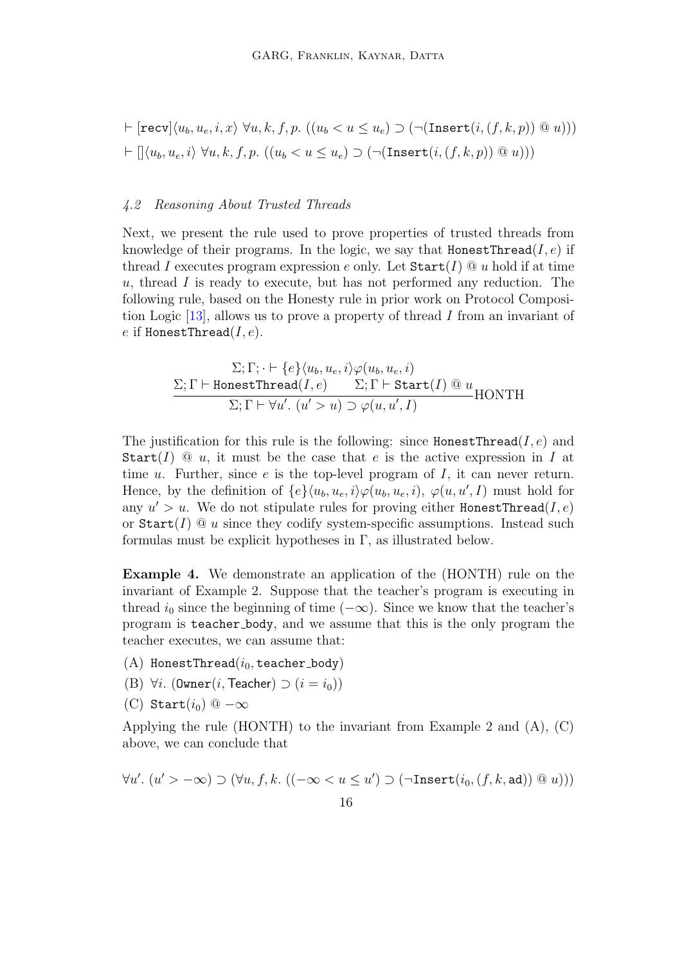$$
\vdash [\texttt{recv}]\langle u_b, u_e, i, x \rangle \ \forall u, k, f, p. \ ((u_b < u \le u_e) \supset (\neg(\texttt{Insert}(i, (f, k, p)) \ @ u)))
$$
\n
$$
\vdash []\langle u_b, u_e, i \rangle \ \forall u, k, f, p. \ ((u_b < u \le u_e) \supset (\neg(\texttt{Insert}(i, (f, k, p)) \ @ u)))
$$

#### <span id="page-15-0"></span>4.2 Reasoning About Trusted Threads

Next, we present the rule used to prove properties of trusted threads from knowledge of their programs. In the logic, we say that  $H$ onestThread $(I, e)$  if thread I executes program expression e only. Let  $\text{Start}(I) \t Q u$  hold if at time  $u$ , thread  $I$  is ready to execute, but has not performed any reduction. The following rule, based on the Honesty rule in prior work on Protocol Composition Logic  $[13]$ , allows us to prove a property of thread I from an invariant of e if HonestThread $(I, e)$ .

$$
\frac{\Sigma; \Gamma; \cdot \vdash \{e\} \langle u_b, u_e, i \rangle \varphi(u_b, u_e, i)}{\Sigma; \Gamma \vdash \text{HonestThread}(I, e)} \frac{\Sigma; \Gamma \vdash \text{Start}(I) @ u}{\Sigma; \Gamma \vdash \forall u'. (u' > u) \supset \varphi(u, u', I)} \text{HONTH}
$$

The justification for this rule is the following: since  $H$ onestThread $(I, e)$  and Start(I)  $\mathcal{Q}$  u, it must be the case that e is the active expression in I at time u. Further, since e is the top-level program of  $I$ , it can never return. Hence, by the definition of  $\{e\}(u_b, u_e, i) \varphi(u_b, u_e, i), \varphi(u, u', I)$  must hold for any  $u' > u$ . We do not stipulate rules for proving either HonestThread(I,e) or  $Start(I) @ u$  since they codify system-specific assumptions. Instead such formulas must be explicit hypotheses in Γ, as illustrated below.

Example 4. We demonstrate an application of the (HONTH) rule on the invariant of Example 2. Suppose that the teacher's program is executing in thread  $i_0$  since the beginning of time ( $-\infty$ ). Since we know that the teacher's program is teacher body, and we assume that this is the only program the teacher executes, we can assume that:

- $(A)$  HonestThread $(i_0, \texttt{teacher\_body})$
- (B)  $\forall i$ . (Owner(*i*, Teacher) ⊃ (*i* = *i*<sub>0</sub>))
- (C) Start $(i_0)$  @  $-\infty$

Applying the rule (HONTH) to the invariant from Example 2 and  $(A)$ ,  $(C)$ above, we can conclude that

$$
\forall u'.\ (u' > -\infty) \supset (\forall u, f, k. \ ((-\infty < u \leq u') \supset (\neg \mathtt{Insert}(i_0, (f, k, \mathtt{ad})) \ @ \ u)))
$$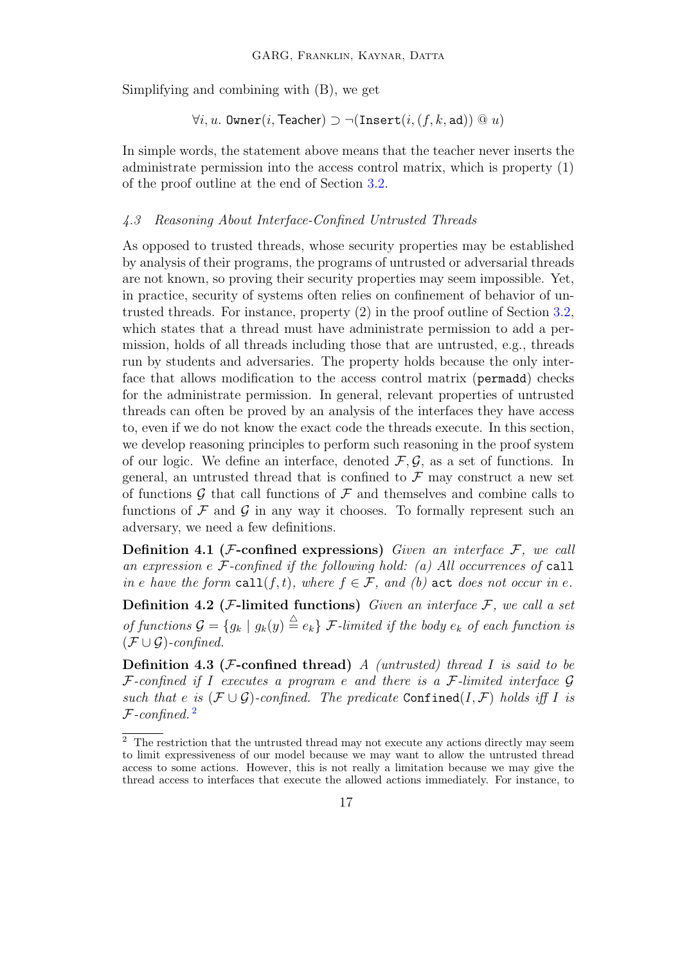Simplifying and combining with (B), we get

 $\forall i, u$ . Owner $(i, \text{Teacher}) \supset \neg(\text{Insert}(i,(f, k, \text{ad})) \ @ \ u)$ 

In simple words, the statement above means that the teacher never inserts the administrate permission into the access control matrix, which is property (1) of the proof outline at the end of Section [3.2.](#page-6-0)

### <span id="page-16-0"></span>4.3 Reasoning About Interface-Confined Untrusted Threads

As opposed to trusted threads, whose security properties may be established by analysis of their programs, the programs of untrusted or adversarial threads are not known, so proving their security properties may seem impossible. Yet, in practice, security of systems often relies on confinement of behavior of untrusted threads. For instance, property (2) in the proof outline of Section [3.2,](#page-6-0) which states that a thread must have administrate permission to add a permission, holds of all threads including those that are untrusted, e.g., threads run by students and adversaries. The property holds because the only interface that allows modification to the access control matrix (permadd) checks for the administrate permission. In general, relevant properties of untrusted threads can often be proved by an analysis of the interfaces they have access to, even if we do not know the exact code the threads execute. In this section, we develop reasoning principles to perform such reasoning in the proof system of our logic. We define an interface, denoted  $\mathcal{F}, \mathcal{G}$ , as a set of functions. In general, an untrusted thread that is confined to  $\mathcal F$  may construct a new set of functions  $\mathcal G$  that call functions of  $\mathcal F$  and themselves and combine calls to functions of  $\mathcal F$  and  $\mathcal G$  in any way it chooses. To formally represent such an adversary, we need a few definitions.

Definition 4.1 ( $F$ -confined expressions) Given an interface  $F$ , we call an expression e  $\mathcal F$ -confined if the following hold: (a) All occurrences of call in e have the form call $(f, t)$ , where  $f \in \mathcal{F}$ , and (b) act does not occur in e.

Definition 4.2 (*F*-limited functions) Given an interface  $\mathcal{F}$ , we call a set of functions  $\mathcal{G} = \{g_k \mid g_k(y) \stackrel{\triangle}{=} e_k\}$  F-limited if the body  $e_k$  of each function is  $(F \cup G)$ -confined.

**Definition 4.3 (F-confined thread)** A (untrusted) thread I is said to be F-confined if I executes a program e and there is a F-limited interface  $\mathcal G$ such that e is  $(F \cup G)$ -confined. The predicate Confined(I, F) holds iff I is  $F$ -confined.<sup>[2](#page-16-1)</sup>

<span id="page-16-1"></span><sup>&</sup>lt;sup>2</sup> The restriction that the untrusted thread may not execute any actions directly may seem to limit expressiveness of our model because we may want to allow the untrusted thread access to some actions. However, this is not really a limitation because we may give the thread access to interfaces that execute the allowed actions immediately. For instance, to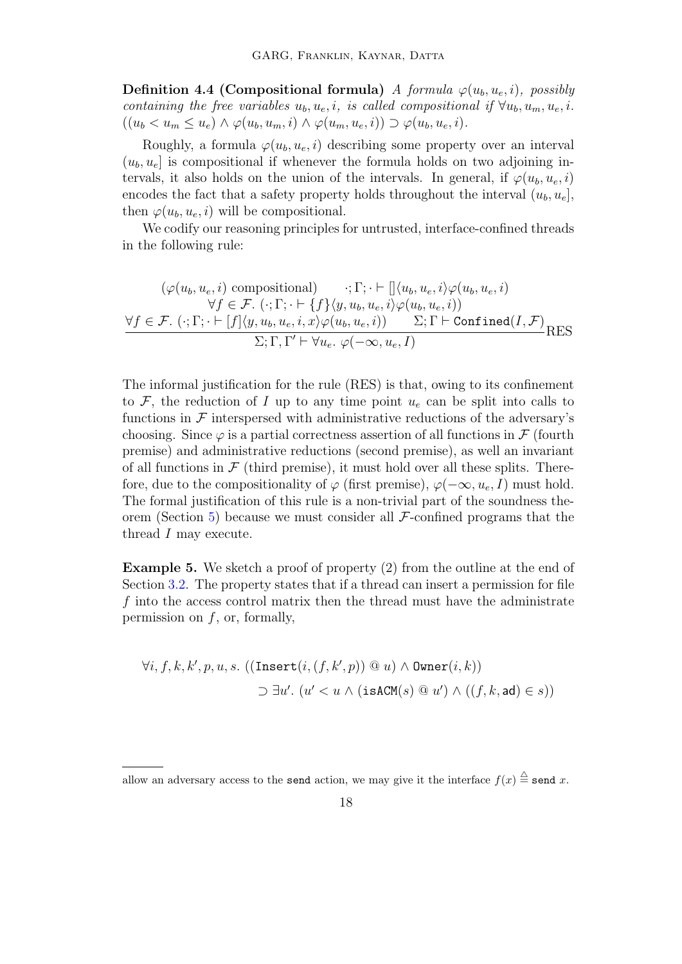**Definition 4.4 (Compositional formula)** A formula  $\varphi(u_b, u_e, i)$ , possibly containing the free variables  $u_b, u_e, i$ , is called compositional if  $\forall u_b, u_m, u_e, i$ .  $((u_b < u_m \leq u_e) \wedge \varphi(u_b, u_m, i) \wedge \varphi(u_m, u_e, i)) \supset \varphi(u_b, u_e, i).$ 

Roughly, a formula  $\varphi(u_b, u_e, i)$  describing some property over an interval  $(u_b, u_e]$  is compositional if whenever the formula holds on two adjoining intervals, it also holds on the union of the intervals. In general, if  $\varphi(u_b, u_e, i)$ encodes the fact that a safety property holds throughout the interval  $(u_b, u_e]$ , then  $\varphi(u_b, u_e, i)$  will be compositional.

We codify our reasoning principles for untrusted, interface-confined threads in the following rule:

$$
(\varphi(u_b, u_e, i) \text{ compositional}) \qquad \cdot; \Gamma; \cdot \vdash []\langle u_b, u_e, i \rangle \varphi(u_b, u_e, i) \forall f \in \mathcal{F}. (\cdot; \Gamma; \cdot \vdash \{f\} \langle y, u_b, u_e, i \rangle \varphi(u_b, u_e, i)) \n\underline{\forall f \in \mathcal{F}. (\cdot; \Gamma; \cdot \vdash [f] \langle y, u_b, u_e, i, x \rangle \varphi(u_b, u_e, i))} \qquad \Sigma; \Gamma \vdash \text{Confined}(I, \mathcal{F}) \n\Sigma; \Gamma, \Gamma' \vdash \forall u_e. \varphi(-\infty, u_e, I) \qquad \text{RES}
$$

The informal justification for the rule (RES) is that, owing to its confinement to F, the reduction of I up to any time point  $u_e$  can be split into calls to functions in  $\mathcal F$  interspersed with administrative reductions of the adversary's choosing. Since  $\varphi$  is a partial correctness assertion of all functions in F (fourth premise) and administrative reductions (second premise), as well an invariant of all functions in  $\mathcal F$  (third premise), it must hold over all these splits. Therefore, due to the compositionality of  $\varphi$  (first premise),  $\varphi(-\infty, u_e, I)$  must hold. The formal justification of this rule is a non-trivial part of the soundness the-orem (Section [5\)](#page-18-0) because we must consider all  $\mathcal{F}$ -confined programs that the thread I may execute.

Example 5. We sketch a proof of property (2) from the outline at the end of Section [3.2.](#page-6-0) The property states that if a thread can insert a permission for file f into the access control matrix then the thread must have the administrate permission on  $f$ , or, formally,

$$
\forall i, f, k, k', p, u, s. ((Insert(i, (f, k', p)) \t\t@ u) \wedge {Owner(i, k)})
$$
  

$$
\supset \exists u'. (u' < u \wedge (isACM(s) \t@ u') \wedge ((f, k, \text{ad}) \in s))
$$

allow an adversary access to the send action, we may give it the interface  $f(x) \stackrel{\triangle}{=}$  send x.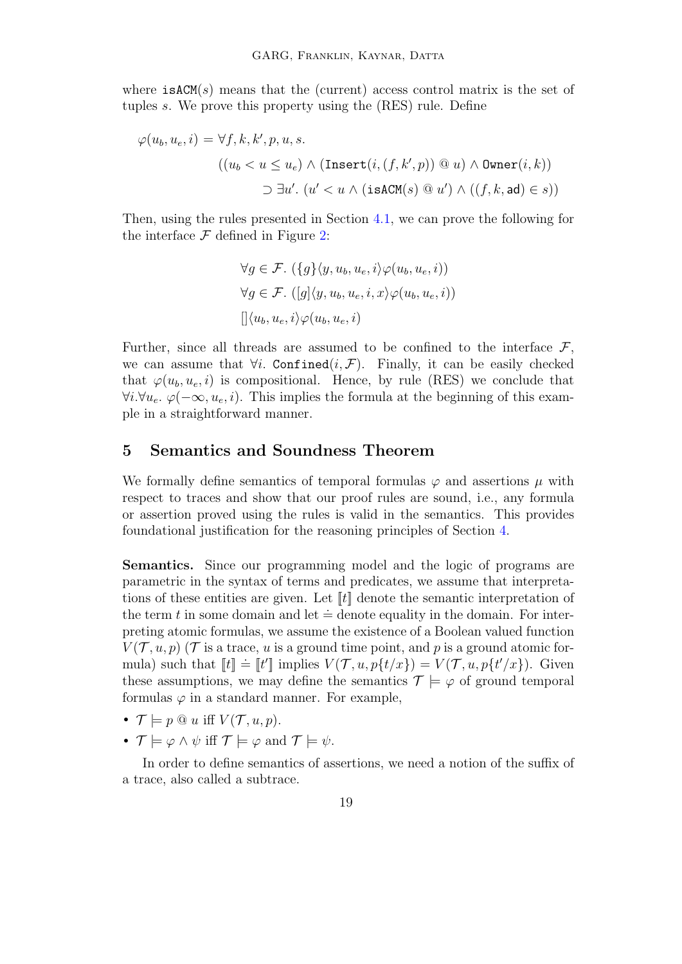where  $\texttt{isACM}(s)$  means that the (current) access control matrix is the set of tuples s. We prove this property using the (RES) rule. Define

$$
\varphi(u_b, u_e, i) = \forall f, k, k', p, u, s.
$$

$$
((u_b < u \le u_e) \land (\text{Insert}(i, (f, k', p)) \t\t@ u) \land \text{Owner}(i, k))
$$

$$
\supset \exists u'. \ (u' < u \land (\text{isACM}(s) \t\t@ u') \land ((f, k, \text{ad}) \in s))
$$

Then, using the rules presented in Section [4.1,](#page-13-0) we can prove the following for the interface  $\mathcal F$  defined in Figure [2:](#page-7-0)

$$
\forall g \in \mathcal{F}. (\{g\}\langle y, u_b, u_e, i \rangle \varphi(u_b, u_e, i))
$$
  

$$
\forall g \in \mathcal{F}. ([g]\langle y, u_b, u_e, i, x \rangle \varphi(u_b, u_e, i))
$$
  

$$
[[\langle u_b, u_e, i \rangle \varphi(u_b, u_e, i)]
$$

Further, since all threads are assumed to be confined to the interface  $\mathcal{F}$ , we can assume that  $\forall i$ . Confined $(i, \mathcal{F})$ . Finally, it can be easily checked that  $\varphi(u_b, u_e, i)$  is compositional. Hence, by rule (RES) we conclude that  $\forall i.\forall u_e.\ \varphi(-\infty, u_e, i)$ . This implies the formula at the beginning of this example in a straightforward manner.

## <span id="page-18-0"></span>5 Semantics and Soundness Theorem

We formally define semantics of temporal formulas  $\varphi$  and assertions  $\mu$  with respect to traces and show that our proof rules are sound, i.e., any formula or assertion proved using the rules is valid in the semantics. This provides foundational justification for the reasoning principles of Section [4.](#page-12-0)

Semantics. Since our programming model and the logic of programs are parametric in the syntax of terms and predicates, we assume that interpretations of these entities are given. Let  $\llbracket t \rrbracket$  denote the semantic interpretation of the term t in some domain and let  $\dot{=}$  denote equality in the domain. For interpreting atomic formulas, we assume the existence of a Boolean valued function  $V(\mathcal{T}, u, p)$  ( $\mathcal{T}$  is a trace, u is a ground time point, and p is a ground atomic formula) such that  $[[t]] = [[t]]$  implies  $V(\mathcal{T}, u, p\{t/x\}) = V(\mathcal{T}, u, p\{t'/x\})$ . Given these assumptions, we may define the semantics  $\mathcal{T} \models \varphi$  of ground temporal formulas  $\varphi$  in a standard manner. For example,

- $\mathcal{T} \models p \mathcal{Q} u$  iff  $V(\mathcal{T}, u, p)$ .
- $\mathcal{T} \models \varphi \land \psi$  iff  $\mathcal{T} \models \varphi$  and  $\mathcal{T} \models \psi$ .

In order to define semantics of assertions, we need a notion of the suffix of a trace, also called a subtrace.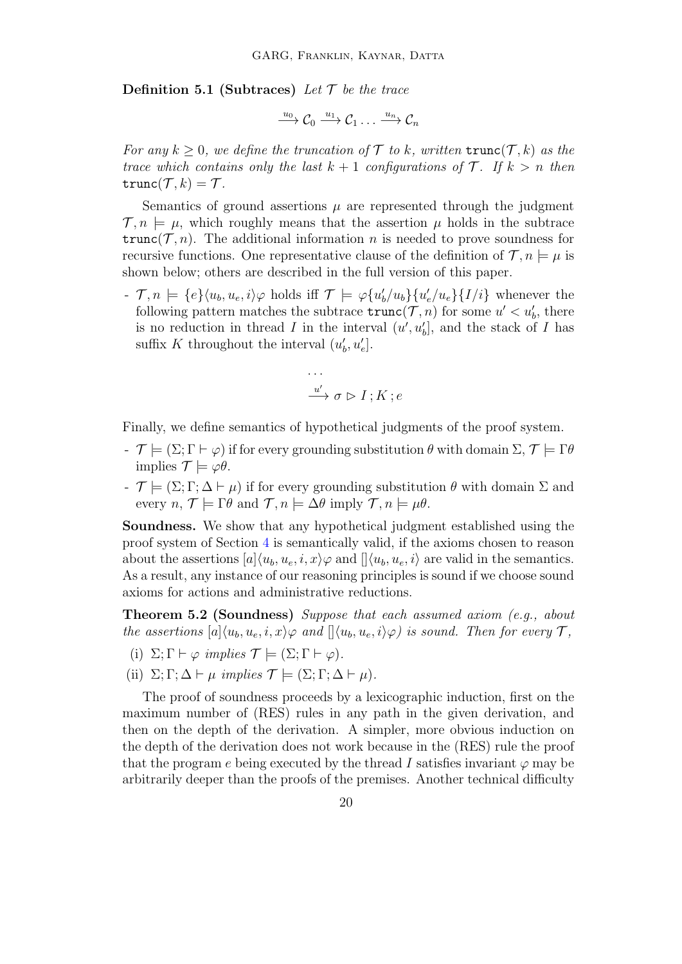**Definition 5.1 (Subtraces)** Let  $\mathcal{T}$  be the trace

$$
\xrightarrow{u_0} \mathcal{C}_0 \xrightarrow{u_1} \mathcal{C}_1 \dots \xrightarrow{u_n} \mathcal{C}_n
$$

For any  $k > 0$ , we define the truncation of T to k, written  $\text{trunc}(\mathcal{T}, k)$  as the trace which contains only the last  $k + 1$  configurations of T. If  $k > n$  then  $trunc(\mathcal{T}, k) = \mathcal{T}$ .

Semantics of ground assertions  $\mu$  are represented through the judgment  $\mathcal{T}, n \models \mu$ , which roughly means that the assertion  $\mu$  holds in the subtrace trunc( $\mathcal{T}, n$ ). The additional information n is needed to prove soundness for recursive functions. One representative clause of the definition of  $\mathcal{T}, n \models \mu$  is shown below; others are described in the full version of this paper.

-  $\mathcal{T}, n \models \{e\} \langle u_b, u_e, i \rangle \varphi$  holds iff  $\mathcal{T} \models \varphi \{u'_b/u_b\} \{u'_e/u_e\} \{I/i\}$  whenever the following pattern matches the subtrace  $\text{trunc}(\mathcal{T}, n)$  for some  $u' < u'_{b}$ , there is no reduction in thread I in the interval  $(u', u'_b]$ , and the stack of I has suffix K throughout the interval  $(u'_b, u'_e]$ .

$$
\cdots
$$
  

$$
\xrightarrow{u'} \sigma \rhd I; K; e
$$

Finally, we define semantics of hypothetical judgments of the proof system.

- $\mathcal{T} \models (\Sigma; \Gamma \vdash \varphi)$  if for every grounding substitution  $\theta$  with domain  $\Sigma, \mathcal{T} \models \Gamma \theta$ implies  $\mathcal{T} \models \varphi \theta$ .
- $\mathcal{T} = \mathcal{T} \models (\Sigma; \Gamma; \Delta \vdash \mu)$  if for every grounding substitution  $\theta$  with domain  $\Sigma$  and every  $n, \mathcal{T} \models \Gamma \theta$  and  $\mathcal{T}, n \models \Delta \theta$  imply  $\mathcal{T}, n \models \mu \theta$ .

Soundness. We show that any hypothetical judgment established using the proof system of Section [4](#page-12-0) is semantically valid, if the axioms chosen to reason about the assertions  $[a](u_b, u_e, i, x) \varphi$  and  $\langle u_b, u_e, i \rangle$  are valid in the semantics. As a result, any instance of our reasoning principles is sound if we choose sound axioms for actions and administrative reductions.

Theorem 5.2 (Soundness) Suppose that each assumed axiom (e.g., about the assertions  $[a]\langle u_b, u_e, i, x \rangle \varphi$  and  $[\langle u_b, u_e, i \rangle \varphi]$  is sound. Then for every  $\mathcal{T}$ ,

- (i)  $\Sigma; \Gamma \vdash \varphi \implies \mathcal{T} \models (\Sigma; \Gamma \vdash \varphi).$
- (ii)  $\Sigma: \Gamma: \Delta \vdash \mu \implies \mathcal{T} \models (\Sigma: \Gamma: \Delta \vdash \mu).$

The proof of soundness proceeds by a lexicographic induction, first on the maximum number of (RES) rules in any path in the given derivation, and then on the depth of the derivation. A simpler, more obvious induction on the depth of the derivation does not work because in the (RES) rule the proof that the program e being executed by the thread I satisfies invariant  $\varphi$  may be arbitrarily deeper than the proofs of the premises. Another technical difficulty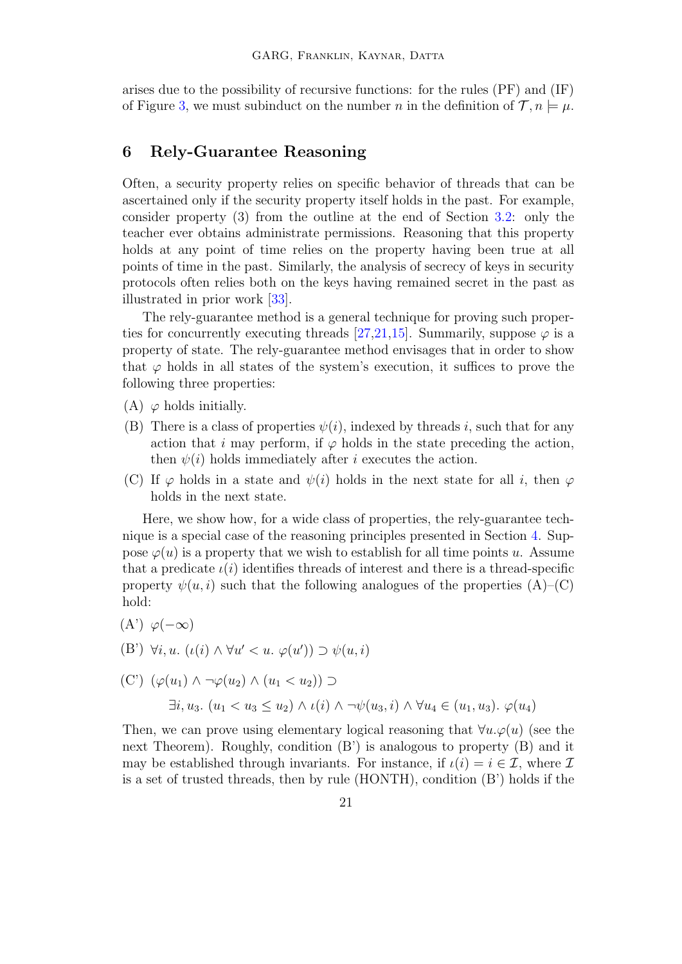arises due to the possibility of recursive functions: for the rules (PF) and (IF) of Figure [3,](#page-13-1) we must subinduct on the number n in the definition of  $\mathcal{T}, n \models \mu$ .

## <span id="page-20-0"></span>6 Rely-Guarantee Reasoning

Often, a security property relies on specific behavior of threads that can be ascertained only if the security property itself holds in the past. For example, consider property (3) from the outline at the end of Section [3.2:](#page-6-0) only the teacher ever obtains administrate permissions. Reasoning that this property holds at any point of time relies on the property having been true at all points of time in the past. Similarly, the analysis of secrecy of keys in security protocols often relies both on the keys having remained secret in the past as illustrated in prior work [\[33\]](#page-24-14).

The rely-guarantee method is a general technique for proving such proper-ties for concurrently executing threads [\[27,](#page-24-0)[21,](#page-24-1)[15\]](#page-23-17). Summarily, suppose  $\varphi$  is a property of state. The rely-guarantee method envisages that in order to show that  $\varphi$  holds in all states of the system's execution, it suffices to prove the following three properties:

- (A)  $\varphi$  holds initially.
- (B) There is a class of properties  $\psi(i)$ , indexed by threads i, such that for any action that i may perform, if  $\varphi$  holds in the state preceding the action, then  $\psi(i)$  holds immediately after i executes the action.
- (C) If  $\varphi$  holds in a state and  $\psi(i)$  holds in the next state for all i, then  $\varphi$ holds in the next state.

Here, we show how, for a wide class of properties, the rely-guarantee technique is a special case of the reasoning principles presented in Section [4.](#page-12-0) Suppose  $\varphi(u)$  is a property that we wish to establish for all time points u. Assume that a predicate  $\iota(i)$  identifies threads of interest and there is a thread-specific property  $\psi(u, i)$  such that the following analogues of the properties  $(A)$ – $(C)$ hold:

 $(A') \varphi(-\infty)$ 

$$
(B') \ \forall i, u. \ (\iota(i) \land \forall u' < u. \ \varphi(u')) \supset \psi(u, i)
$$

$$
(C')\ (\varphi(u_1)\wedge\neg\varphi(u_2)\wedge(u_1
$$

$$
\exists i, u_3. (u_1 < u_3 \le u_2) \land \iota(i) \land \neg \psi(u_3, i) \land \forall u_4 \in (u_1, u_3). \varphi(u_4)
$$

Then, we can prove using elementary logical reasoning that  $\forall u.\varphi(u)$  (see the next Theorem). Roughly, condition (B') is analogous to property (B) and it may be established through invariants. For instance, if  $\iota(i) = i \in \mathcal{I}$ , where  $\mathcal{I}$ is a set of trusted threads, then by rule (HONTH), condition (B') holds if the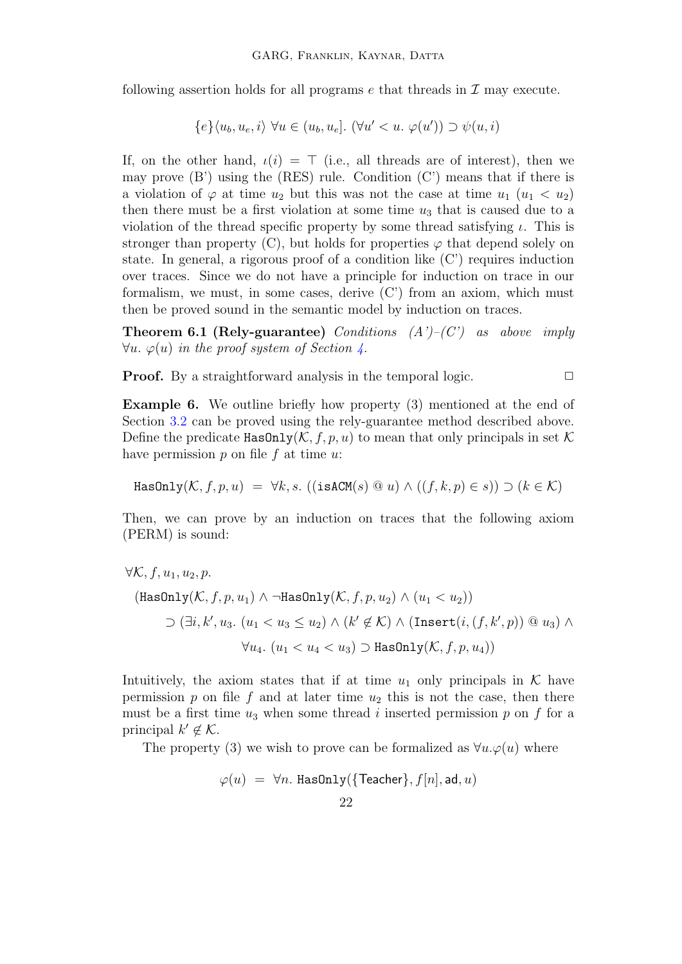following assertion holds for all programs  $e$  that threads in  $\mathcal I$  may execute.

$$
\{e\}\langle u_b, u_e, i\rangle \ \forall u \in (u_b, u_e]. \ (\forall u' < u. \ \varphi(u')) \supset \psi(u, i)
$$

If, on the other hand,  $\iota(i) = \top$  (i.e., all threads are of interest), then we may prove  $(B')$  using the (RES) rule. Condition  $(C')$  means that if there is a violation of  $\varphi$  at time  $u_2$  but this was not the case at time  $u_1$   $(u_1 < u_2)$ then there must be a first violation at some time  $u_3$  that is caused due to a violation of the thread specific property by some thread satisfying  $\iota$ . This is stronger than property (C), but holds for properties  $\varphi$  that depend solely on state. In general, a rigorous proof of a condition like  $(C)$  requires induction over traces. Since we do not have a principle for induction on trace in our formalism, we must, in some cases, derive  $(C)$  from an axiom, which must then be proved sound in the semantic model by induction on traces.

<span id="page-21-0"></span>**Theorem 6.1 (Rely-guarantee)** Conditions  $(A')-(C')$  as above imply  $\forall u. \varphi(u)$  in the proof system of Section [4.](#page-12-0)

**Proof.** By a straightforward analysis in the temporal logic.  $\Box$ 

Example 6. We outline briefly how property (3) mentioned at the end of Section [3.2](#page-6-0) can be proved using the rely-guarantee method described above. Define the predicate  $\text{HasOnly}(K, f, p, u)$  to mean that only principals in set K have permission  $p$  on file  $f$  at time  $u$ :

$$
\mathtt{HasOnly}(\mathcal{K}, f, p, u) = \forall k, s. \ ((\mathtt{isACM}(s) \ @ \ u) \land ((f, k, p) \in s)) \supset (k \in \mathcal{K})
$$

Then, we can prove by an induction on traces that the following axiom (PERM) is sound:

$$
\forall K, f, u_1, u_2, p.
$$
  
(HasOnly(K, f, p, u<sub>1</sub>)  $\land$   $\neg$ HasOnly(K, f, p, u<sub>2</sub>)  $\land$  (u<sub>1</sub> < u<sub>2</sub>))  
 $\supset (\exists i, k', u_3. (u_1 < u_3 \le u_2) \land (k' \notin K) \land (\text{Insert}(i, (f, k', p)) \otimes u_3) \land$   
 $\forall u_4. (u_1 < u_4 < u_3) \supset$  HasOnly(K, f, p, u<sub>4</sub>))

Intuitively, the axiom states that if at time  $u_1$  only principals in K have permission p on file f and at later time  $u_2$  this is not the case, then there must be a first time  $u_3$  when some thread i inserted permission p on f for a principal  $k' \notin \mathcal{K}$ .

The property (3) we wish to prove can be formalized as  $\forall u.\varphi(u)$  where

$$
\varphi(u) = \forall n. \; \texttt{HasOnly}(\{\texttt{Teacher}\}, f[n], \texttt{ad}, u)
$$
  
22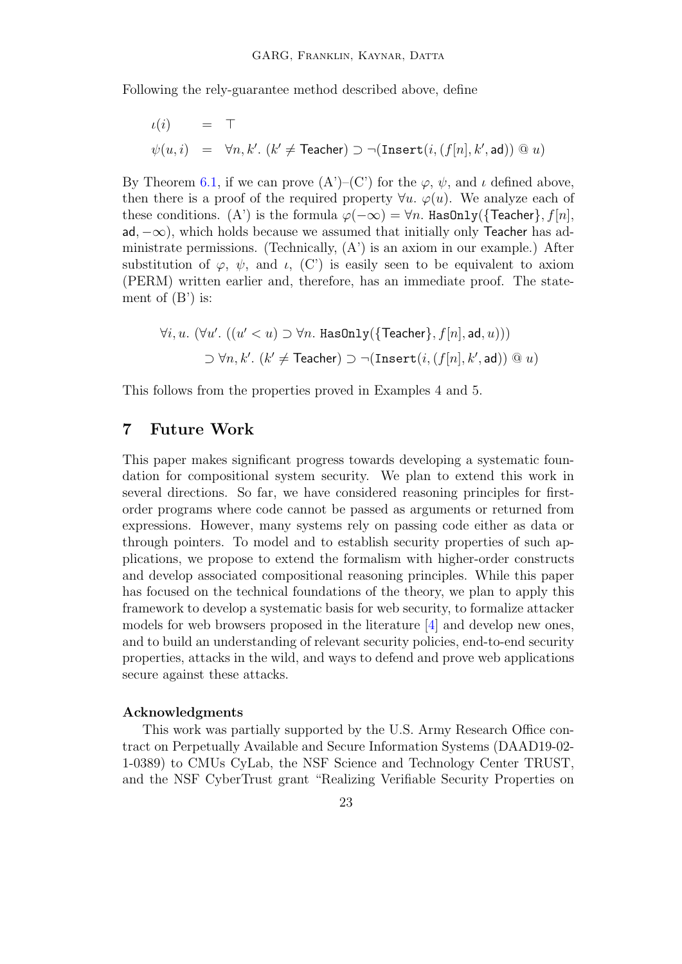Following the rely-guarantee method described above, define

$$
\begin{array}{lcl} \iota(i) & = & \top \\ \psi(u,i) & = & \forall n,k'. \ (k' \neq \text{Teacher}) \supset \neg(\text{Insert}(i,(f[n],k',\text{ad})) \ @ \ u) \end{array}
$$

By Theorem [6.1,](#page-21-0) if we can prove  $(A')-(C')$  for the  $\varphi, \psi$ , and  $\iota$  defined above, then there is a proof of the required property  $\forall u$ .  $\varphi(u)$ . We analyze each of these conditions. (A') is the formula  $\varphi(-\infty) = \forall n$ . Has Only ({Teacher}, f[n], ad,  $-\infty$ ), which holds because we assumed that initially only Teacher has administrate permissions. (Technically,  $(A')$  is an axiom in our example.) After substitution of  $\varphi$ ,  $\psi$ , and  $\iota$ , (C') is easily seen to be equivalent to axiom (PERM) written earlier and, therefore, has an immediate proof. The statement of  $(B')$  is:

$$
\forall i, u. \ (\forall u'. \ ((u' < u) \supset \forall n. \ \text{HasOnly}(\{\text{Teacher}\}, f[n], \text{ad}, u)))
$$
\n
$$
\supset \forall n, k'. \ (k' \neq \text{Teacher}) \supset \neg(\text{Insert}(i, (f[n], k', \text{ad})) \ @ \ u)
$$

This follows from the properties proved in Examples 4 and 5.

## <span id="page-22-0"></span>7 Future Work

This paper makes significant progress towards developing a systematic foundation for compositional system security. We plan to extend this work in several directions. So far, we have considered reasoning principles for firstorder programs where code cannot be passed as arguments or returned from expressions. However, many systems rely on passing code either as data or through pointers. To model and to establish security properties of such applications, we propose to extend the formalism with higher-order constructs and develop associated compositional reasoning principles. While this paper has focused on the technical foundations of the theory, we plan to apply this framework to develop a systematic basis for web security, to formalize attacker models for web browsers proposed in the literature  $\left[4\right]$  and develop new ones, and to build an understanding of relevant security policies, end-to-end security properties, attacks in the wild, and ways to defend and prove web applications secure against these attacks.

### Acknowledgments

This work was partially supported by the U.S. Army Research Office contract on Perpetually Available and Secure Information Systems (DAAD19-02- 1-0389) to CMUs CyLab, the NSF Science and Technology Center TRUST, and the NSF CyberTrust grant "Realizing Verifiable Security Properties on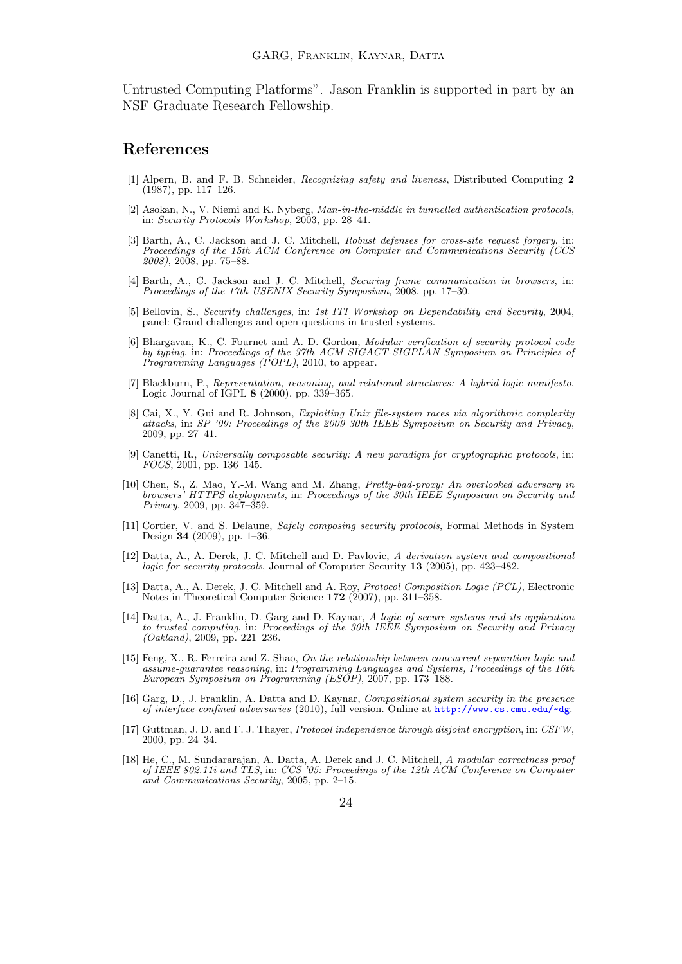Untrusted Computing Platforms". Jason Franklin is supported in part by an NSF Graduate Research Fellowship.

## References

- <span id="page-23-11"></span>[1] Alpern, B. and F. B. Schneider, Recognizing safety and liveness, Distributed Computing 2  $(1\overline{9}87),$  pp. 117–126.
- <span id="page-23-4"></span>[2] Asokan, N., V. Niemi and K. Nyberg, Man-in-the-middle in tunnelled authentication protocols, in: Security Protocols Workshop, 2003, pp. 28–41.
- <span id="page-23-1"></span>[3] Barth, A., C. Jackson and J. C. Mitchell, Robust defenses for cross-site request forgery, in: Proceedings of the 15th ACM Conference on Computer and Communications Security (CCS 2008), 2008, pp. 75–88.
- <span id="page-23-2"></span>[4] Barth, A., C. Jackson and J. C. Mitchell, Securing frame communication in browsers, in: Proceedings of the 17th USENIX Security Symposium, 2008, pp. 17–30.
- <span id="page-23-0"></span>[5] Bellovin, S., Security challenges, in: 1st ITI Workshop on Dependability and Security, 2004, panel: Grand challenges and open questions in trusted systems.
- <span id="page-23-9"></span>[6] Bhargavan, K., C. Fournet and A. D. Gordon, Modular verification of security protocol code by typing, in: Proceedings of the 37th ACM SIGACT-SIGPLAN Symposium on Principles of  $P$ rogramming Languages (POPL), 2010, to appear.
- <span id="page-23-16"></span>[7] Blackburn, P., Representation, reasoning, and relational structures: A hybrid logic manifesto, Logic Journal of IGPL  $8$  (2000), pp. 339–365.
- <span id="page-23-5"></span>[8] Cai, X., Y. Gui and R. Johnson, Exploiting Unix file-system races via algorithmic complexity attacks, in: SP '09: Proceedings of the 2009 30th IEEE Symposium on Security and Privacy, 2009, pp. 27–41.
- <span id="page-23-7"></span>[9] Canetti, R., Universally composable security: A new paradigm for cryptographic protocols, in: FOCS, 2001, pp. 136–145.
- <span id="page-23-3"></span>[10] Chen, S., Z. Mao, Y.-M. Wang and M. Zhang, Pretty-bad-proxy: An overlooked adversary in browsers' HTTPS deployments, in: Proceedings of the 30th IEEE Symposium on Security and Privacy, 2009, pp. 347–359.
- <span id="page-23-10"></span>[11] Cortier, V. and S. Delaune, Safely composing security protocols, Formal Methods in System Design 34 (2009), pp. 1–36.
- <span id="page-23-8"></span>[12] Datta, A., A. Derek, J. C. Mitchell and D. Pavlovic, A derivation system and compositional logic for security protocols, Journal of Computer Security 13 (2005), pp. 423–482.
- <span id="page-23-12"></span>[13] Datta, A., A. Derek, J. C. Mitchell and A. Roy, Protocol Composition Logic (PCL), Electronic Notes in Theoretical Computer Science 172 (2007), pp. 311–358.
- <span id="page-23-14"></span>[14] Datta, A., J. Franklin, D. Garg and D. Kaynar, A logic of secure systems and its application to trusted computing, in: Proceedings of the 30th IEEE Symposium on Security and Privacy (Oakland), 2009, pp. 221–236.
- <span id="page-23-17"></span>[15] Feng, X., R. Ferreira and Z. Shao, On the relationship between concurrent separation logic and assume-guarantee reasoning, in: Programming Languages and Systems, Proceedings of the 16th European Symposium on Programming (ESOP), 2007, pp. 173–188.
- <span id="page-23-15"></span>[16] Garg, D., J. Franklin, A. Datta and D. Kaynar, Compositional system security in the presence of interface-confined adversaries (2010), full version. Online at <http://www.cs.cmu.edu/~dg>.
- <span id="page-23-6"></span>[17] Guttman, J. D. and F. J. Thayer, Protocol independence through disjoint encryption, in: CSFW, 2000, pp. 24–34.
- <span id="page-23-13"></span>[18] He, C., M. Sundararajan, A. Datta, A. Derek and J. C. Mitchell, A modular correctness prooj of IEEE 802.11i and TLS, in: CCS '05: Proceedings of the 12th ACM Conference on Computer and Communications Security, 2005, pp. 2–15.